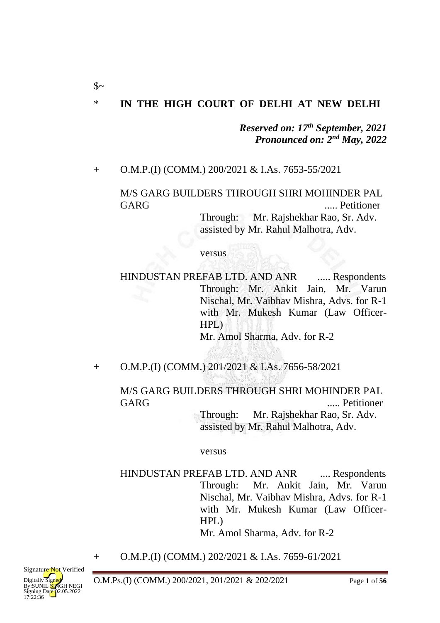# \* **IN THE HIGH COURT OF DELHI AT NEW DELHI**

*Reserved on: 17th September, 2021 Pronounced on: 2nd May, 2022*

#### + O.M.P.(I) (COMM.) 200/2021 & I.As. 7653-55/2021

 $\mathcal{S}$ ~

# M/S GARG BUILDERS THROUGH SHRI MOHINDER PAL GARG ..... Petitioner

Through: Mr. Rajshekhar Rao, Sr. Adv. assisted by Mr. Rahul Malhotra, Adv.

#### versus

HINDUSTAN PREFAB LTD. AND ANR ..... Respondents Through: Mr. Ankit Jain, Mr. Varun Nischal, Mr. Vaibhav Mishra, Advs. for R-1 with Mr. Mukesh Kumar (Law Officer-HPL)

Mr. Amol Sharma, Adv. for R-2

+ O.M.P.(I) (COMM.) 201/2021 & I.As. 7656-58/2021

M/S GARG BUILDERS THROUGH SHRI MOHINDER PAL GARG ..... Petitioner

> Through: Mr. Rajshekhar Rao, Sr. Adv. assisted by Mr. Rahul Malhotra, Adv.

#### versus

HINDUSTAN PREFAB LTD. AND ANR ..... Respondents Through: Mr. Ankit Jain, Mr. Varun Nischal, Mr. Vaibhav Mishra, Advs. for R-1 with Mr. Mukesh Kumar (Law Officer-HPL) Mr. Amol Sharma, Adv. for R-2

+ O.M.P.(I) (COMM.) 202/2021 & I.As. 7659-61/2021

O.M.Ps.(I) (COMM.) 200/2021, 201/2021 & 202/2021 Page **1** of **56**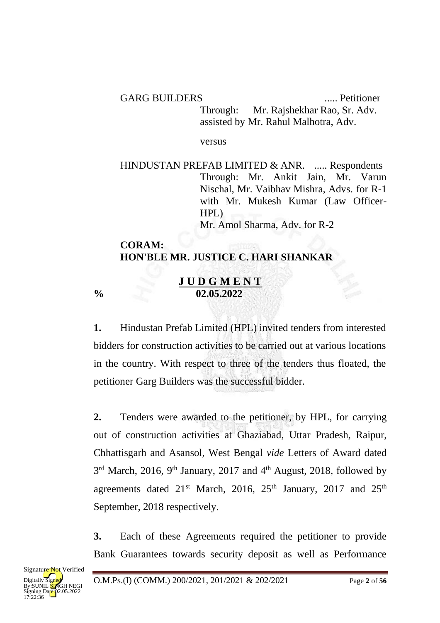GARG BUILDERS ...... Petitioner Through: Mr. Rajshekhar Rao, Sr. Adv. assisted by Mr. Rahul Malhotra, Adv.

versus

HINDUSTAN PREFAB LIMITED & ANR. ..... Respondents Through: Mr. Ankit Jain, Mr. Varun Nischal, Mr. Vaibhav Mishra, Advs. for R-1 with Mr. Mukesh Kumar (Law Officer-HPL) Mr. Amol Sharma, Adv. for R-2

## **CORAM: HON'BLE MR. JUSTICE C. HARI SHANKAR**

#### **J U D G M E N T % 02.05.2022**

**1.** Hindustan Prefab Limited (HPL) invited tenders from interested bidders for construction activities to be carried out at various locations in the country. With respect to three of the tenders thus floated, the petitioner Garg Builders was the successful bidder.

**2.** Tenders were awarded to the petitioner, by HPL, for carrying out of construction activities at Ghaziabad, Uttar Pradesh, Raipur, Chhattisgarh and Asansol, West Bengal *vide* Letters of Award dated  $3<sup>rd</sup>$  March, 2016, 9<sup>th</sup> January, 2017 and 4<sup>th</sup> August, 2018, followed by agreements dated  $21<sup>st</sup>$  March, 2016,  $25<sup>th</sup>$  January, 2017 and  $25<sup>th</sup>$ September, 2018 respectively.

**3.** Each of these Agreements required the petitioner to provide Bank Guarantees towards security deposit as well as Performance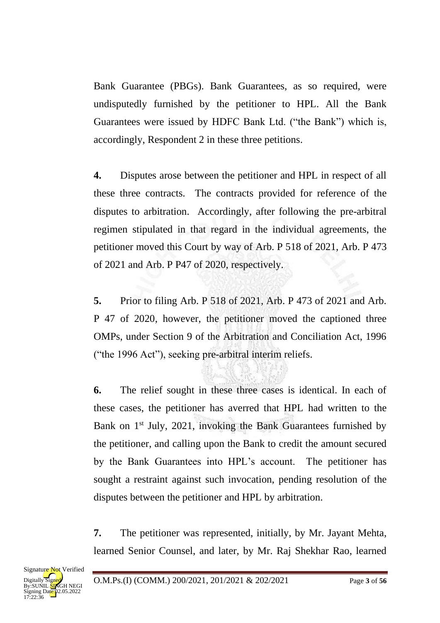Bank Guarantee (PBGs). Bank Guarantees, as so required, were undisputedly furnished by the petitioner to HPL. All the Bank Guarantees were issued by HDFC Bank Ltd. ("the Bank") which is, accordingly, Respondent 2 in these three petitions.

**4.** Disputes arose between the petitioner and HPL in respect of all these three contracts. The contracts provided for reference of the disputes to arbitration. Accordingly, after following the pre-arbitral regimen stipulated in that regard in the individual agreements, the petitioner moved this Court by way of Arb. P 518 of 2021, Arb. P 473 of 2021 and Arb. P P47 of 2020, respectively.

**5.** Prior to filing Arb. P 518 of 2021, Arb. P 473 of 2021 and Arb. P 47 of 2020, however, the petitioner moved the captioned three OMPs, under Section 9 of the Arbitration and Conciliation Act, 1996 ("the 1996 Act"), seeking pre-arbitral interim reliefs.

**6.** The relief sought in these three cases is identical. In each of these cases, the petitioner has averred that HPL had written to the Bank on 1<sup>st</sup> July, 2021, invoking the Bank Guarantees furnished by the petitioner, and calling upon the Bank to credit the amount secured by the Bank Guarantees into HPL's account. The petitioner has sought a restraint against such invocation, pending resolution of the disputes between the petitioner and HPL by arbitration.

**7.** The petitioner was represented, initially, by Mr. Jayant Mehta, learned Senior Counsel, and later, by Mr. Raj Shekhar Rao, learned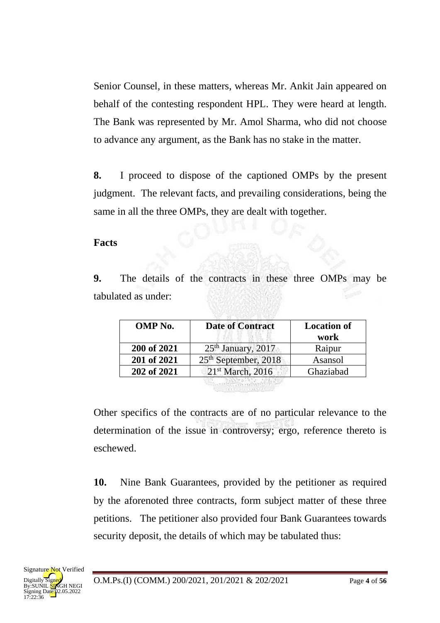Senior Counsel, in these matters, whereas Mr. Ankit Jain appeared on behalf of the contesting respondent HPL. They were heard at length. The Bank was represented by Mr. Amol Sharma, who did not choose to advance any argument, as the Bank has no stake in the matter.

**8.** I proceed to dispose of the captioned OMPs by the present judgment. The relevant facts, and prevailing considerations, being the same in all the three OMPs, they are dealt with together.

# **Facts**

**9.** The details of the contracts in these three OMPs may be tabulated as under:

| <b>OMP</b> No. | <b>Date of Contract</b>          | <b>Location of</b><br>work |
|----------------|----------------------------------|----------------------------|
| 200 of 2021    | $25th$ January, 2017             | Raipur                     |
| 201 of 2021    | 25 <sup>th</sup> September, 2018 | Asansol                    |
| 202 of 2021    | 21 <sup>st</sup> March, 2016     | Ghaziabad                  |

Other specifics of the contracts are of no particular relevance to the determination of the issue in controversy; ergo, reference thereto is eschewed.

**10.** Nine Bank Guarantees, provided by the petitioner as required by the aforenoted three contracts, form subject matter of these three petitions. The petitioner also provided four Bank Guarantees towards security deposit, the details of which may be tabulated thus: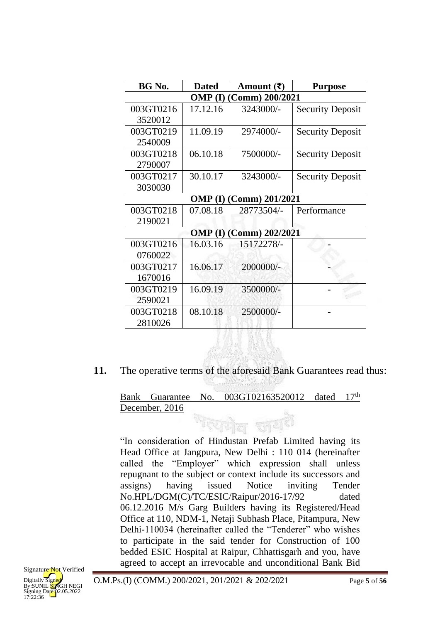| BG No.                         | <b>Dated</b> | Amount $(\bar{\zeta})$ | <b>Purpose</b>          |
|--------------------------------|--------------|------------------------|-------------------------|
| <b>OMP</b> (I) (Comm) 200/2021 |              |                        |                         |
| 003GT0216                      | 17.12.16     | 3243000/-              | <b>Security Deposit</b> |
| 3520012                        |              |                        |                         |
| 003GT0219                      | 11.09.19     | 2974000/-              | <b>Security Deposit</b> |
| 2540009                        |              |                        |                         |
| 003GT0218                      | 06.10.18     | 7500000/-              | <b>Security Deposit</b> |
| 2790007                        |              |                        |                         |
| 003GT0217                      | 30.10.17     | 3243000/-              | <b>Security Deposit</b> |
| 3030030                        |              |                        |                         |
| <b>OMP</b> (I) (Comm) 201/2021 |              |                        |                         |
| 003GT0218                      | 07.08.18     | 28773504/-             | Performance             |
| 2190021                        |              |                        |                         |
| <b>OMP (I) (Comm) 202/2021</b> |              |                        |                         |
| 003GT0216                      | 16.03.16     | 15172278/-             |                         |
| 0760022                        |              |                        |                         |
| 003GT0217                      | 16.06.17     | 2000000/-              |                         |
| 1670016                        |              |                        |                         |
| 003GT0219                      | 16.09.19     | 3500000/-              |                         |
| 2590021                        |              |                        |                         |
| 003GT0218                      | 08.10.18     | 2500000/-              |                         |
| 2810026                        |              |                        |                         |

**11.** The operative terms of the aforesaid Bank Guarantees read thus:

#### Bank Guarantee No. 003GT02163520012 dated 17<sup>th</sup> December, 2016

দিয়দীল জাশ<sup>ই</sup> "In consideration of Hindustan Prefab Limited having its Head Office at Jangpura, New Delhi : 110 014 (hereinafter called the "Employer" which expression shall unless repugnant to the subject or context include its successors and assigns) having issued Notice inviting Tender No.HPL/DGM(C)/TC/ESIC/Raipur/2016-17/92 dated 06.12.2016 M/s Garg Builders having its Registered/Head Office at 110, NDM-1, Netaji Subhash Place, Pitampura, New Delhi-110034 (hereinafter called the "Tenderer" who wishes to participate in the said tender for Construction of 100 bedded ESIC Hospital at Raipur, Chhattisgarh and you, have agreed to accept an irrevocable and unconditional Bank Bid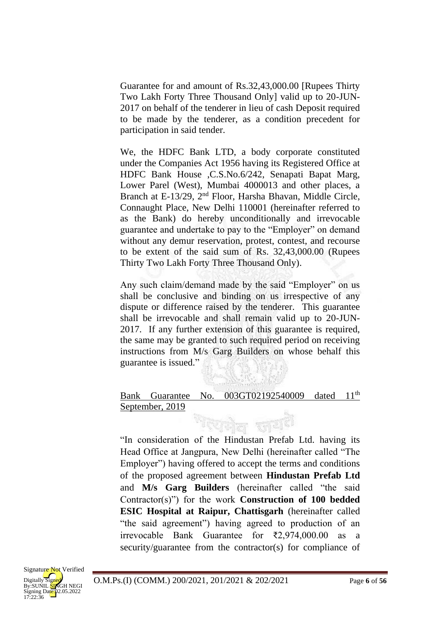Guarantee for and amount of Rs.32,43,000.00 [Rupees Thirty Two Lakh Forty Three Thousand Only] valid up to 20-JUN-2017 on behalf of the tenderer in lieu of cash Deposit required to be made by the tenderer, as a condition precedent for participation in said tender.

We, the HDFC Bank LTD, a body corporate constituted under the Companies Act 1956 having its Registered Office at HDFC Bank House ,C.S.No.6/242, Senapati Bapat Marg, Lower Parel (West), Mumbai 4000013 and other places, a Branch at E-13/29, 2nd Floor, Harsha Bhavan, Middle Circle, Connaught Place, New Delhi 110001 (hereinafter referred to as the Bank) do hereby unconditionally and irrevocable guarantee and undertake to pay to the "Employer" on demand without any demur reservation, protest, contest, and recourse to be extent of the said sum of Rs. 32,43,000.00 (Rupees Thirty Two Lakh Forty Three Thousand Only).

Any such claim/demand made by the said "Employer" on us shall be conclusive and binding on us irrespective of any dispute or difference raised by the tenderer. This guarantee shall be irrevocable and shall remain valid up to 20-JUN-2017. If any further extension of this guarantee is required, the same may be granted to such required period on receiving instructions from M/s Garg Builders on whose behalf this guarantee is issued."

#### Bank Guarantee No. 003GT02192540009 dated 11<sup>th</sup> September, 2019

खालेल कार्य १

"In consideration of the Hindustan Prefab Ltd. having its Head Office at Jangpura, New Delhi (hereinafter called "The Employer") having offered to accept the terms and conditions of the proposed agreement between **Hindustan Prefab Ltd**  and **M/s Garg Builders** (hereinafter called "the said Contractor(s)") for the work **Construction of 100 bedded ESIC Hospital at Raipur, Chattisgarh** (hereinafter called "the said agreement") having agreed to production of an irrevocable Bank Guarantee for ₹2,974,000.00 as a security/guarantee from the contractor(s) for compliance of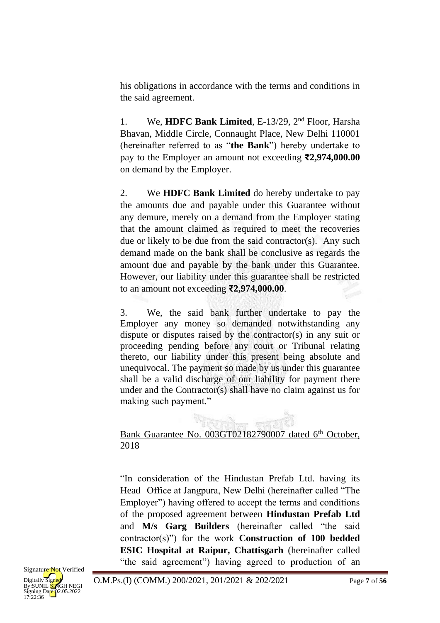his obligations in accordance with the terms and conditions in the said agreement.

1. We, **HDFC Bank Limited**, E-13/29, 2nd Floor, Harsha Bhavan, Middle Circle, Connaught Place, New Delhi 110001 (hereinafter referred to as "**the Bank**") hereby undertake to pay to the Employer an amount not exceeding **₹2,974,000.00**  on demand by the Employer.

2. We **HDFC Bank Limited** do hereby undertake to pay the amounts due and payable under this Guarantee without any demure, merely on a demand from the Employer stating that the amount claimed as required to meet the recoveries due or likely to be due from the said contractor(s). Any such demand made on the bank shall be conclusive as regards the amount due and payable by the bank under this Guarantee. However, our liability under this guarantee shall be restricted to an amount not exceeding **₹2,974,000.00**.

3. We, the said bank further undertake to pay the Employer any money so demanded notwithstanding any dispute or disputes raised by the contractor(s) in any suit or proceeding pending before any court or Tribunal relating thereto, our liability under this present being absolute and unequivocal. The payment so made by us under this guarantee shall be a valid discharge of our liability for payment there under and the Contractor(s) shall have no claim against us for making such payment."

## Bank Guarantee No. 003GT02182790007 dated 6<sup>th</sup> October, 2018

"In consideration of the Hindustan Prefab Ltd. having its Head Office at Jangpura, New Delhi (hereinafter called "The Employer") having offered to accept the terms and conditions of the proposed agreement between **Hindustan Prefab Ltd**  and **M/s Garg Builders** (hereinafter called "the said contractor(s)") for the work **Construction of 100 bedded ESIC Hospital at Raipur, Chattisgarh** (hereinafter called "the said agreement") having agreed to production of an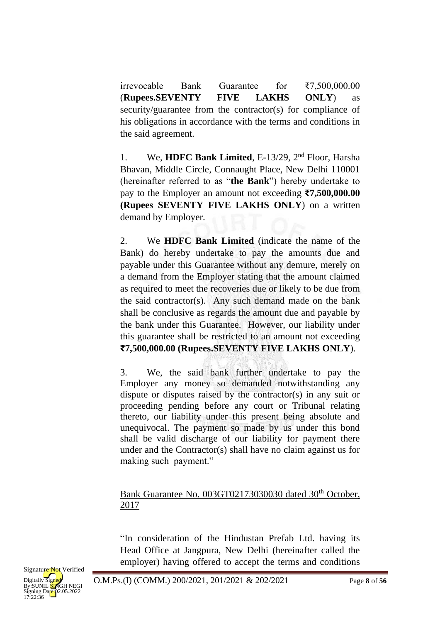irrevocable Bank Guarantee for ₹7,500,000.00 (**Rupees.SEVENTY FIVE LAKHS ONLY**) as security/guarantee from the contractor(s) for compliance of his obligations in accordance with the terms and conditions in the said agreement.

1. We, **HDFC Bank Limited**, E-13/29, 2nd Floor, Harsha Bhavan, Middle Circle, Connaught Place, New Delhi 110001 (hereinafter referred to as "**the Bank**") hereby undertake to pay to the Employer an amount not exceeding **₹7,500,000.00 (Rupees SEVENTY FIVE LAKHS ONLY**) on a written demand by Employer.

2. We **HDFC Bank Limited** (indicate the name of the Bank) do hereby undertake to pay the amounts due and payable under this Guarantee without any demure, merely on a demand from the Employer stating that the amount claimed as required to meet the recoveries due or likely to be due from the said contractor(s). Any such demand made on the bank shall be conclusive as regards the amount due and payable by the bank under this Guarantee. However, our liability under this guarantee shall be restricted to an amount not exceeding **₹7,500,000.00 (Rupees.SEVENTY FIVE LAKHS ONLY**).

3. We, the said bank further undertake to pay the Employer any money so demanded notwithstanding any dispute or disputes raised by the contractor(s) in any suit or proceeding pending before any court or Tribunal relating thereto, our liability under this present being absolute and unequivocal. The payment so made by us under this bond shall be valid discharge of our liability for payment there under and the Contractor(s) shall have no claim against us for making such payment."

#### Bank Guarantee No. 003GT02173030030 dated 30<sup>th</sup> October, 2017

"In consideration of the Hindustan Prefab Ltd. having its Head Office at Jangpura, New Delhi (hereinafter called the employer) having offered to accept the terms and conditions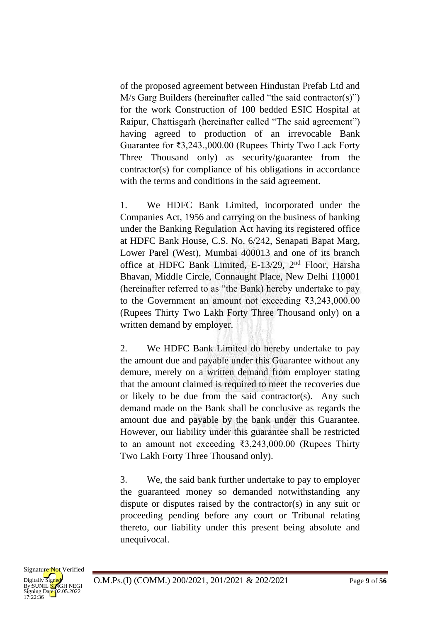of the proposed agreement between Hindustan Prefab Ltd and M/s Garg Builders (hereinafter called "the said contractor(s)") for the work Construction of 100 bedded ESIC Hospital at Raipur, Chattisgarh (hereinafter called "The said agreement") having agreed to production of an irrevocable Bank Guarantee for ₹3,243.,000.00 (Rupees Thirty Two Lack Forty Three Thousand only) as security/guarantee from the contractor(s) for compliance of his obligations in accordance with the terms and conditions in the said agreement.

1. We HDFC Bank Limited, incorporated under the Companies Act, 1956 and carrying on the business of banking under the Banking Regulation Act having its registered office at HDFC Bank House, C.S. No. 6/242, Senapati Bapat Marg, Lower Parel (West), Mumbai 400013 and one of its branch office at HDFC Bank Limited, E-13/29, 2nd Floor, Harsha Bhavan, Middle Circle, Connaught Place, New Delhi 110001 (hereinafter referred to as "the Bank) hereby undertake to pay to the Government an amount not exceeding ₹3,243,000.00 (Rupees Thirty Two Lakh Forty Three Thousand only) on a written demand by employer.

2. We HDFC Bank Limited do hereby undertake to pay the amount due and payable under this Guarantee without any demure, merely on a written demand from employer stating that the amount claimed is required to meet the recoveries due or likely to be due from the said contractor(s). Any such demand made on the Bank shall be conclusive as regards the amount due and payable by the bank under this Guarantee. However, our liability under this guarantee shall be restricted to an amount not exceeding ₹3,243,000.00 (Rupees Thirty Two Lakh Forty Three Thousand only).

3. We, the said bank further undertake to pay to employer the guaranteed money so demanded notwithstanding any dispute or disputes raised by the contractor(s) in any suit or proceeding pending before any court or Tribunal relating thereto, our liability under this present being absolute and unequivocal.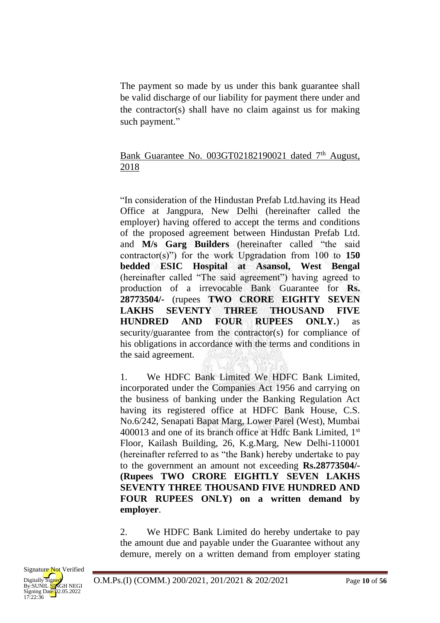The payment so made by us under this bank guarantee shall be valid discharge of our liability for payment there under and the contractor(s) shall have no claim against us for making such payment."

#### Bank Guarantee No.  $0.036T02182190021$  dated  $7<sup>th</sup>$  August, 2018

"In consideration of the Hindustan Prefab Ltd.having its Head Office at Jangpura, New Delhi (hereinafter called the employer) having offered to accept the terms and conditions of the proposed agreement between Hindustan Prefab Ltd. and **M/s Garg Builders** (hereinafter called "the said contractor(s)") for the work Upgradation from 100 to **150 bedded ESIC Hospital at Asansol, West Bengal** (hereinafter called "The said agreement") having agreed to production of a irrevocable Bank Guarantee for **Rs. 28773504/-** (rupees **TWO CRORE EIGHTY SEVEN LAKHS SEVENTY THREE THOUSAND FIVE HUNDRED AND FOUR RUPEES ONLY.**) as security/guarantee from the contractor(s) for compliance of his obligations in accordance with the terms and conditions in the said agreement.

1. We HDFC Bank Limited We HDFC Bank Limited, incorporated under the Companies Act 1956 and carrying on the business of banking under the Banking Regulation Act having its registered office at HDFC Bank House, C.S. No.6/242, Senapati Bapat Marg, Lower Parel (West), Mumbai  $400013$  and one of its branch office at Hdfc Bank Limited,  $1<sup>st</sup>$ Floor, Kailash Building, 26, K.g.Marg, New Delhi-110001 (hereinafter referred to as "the Bank) hereby undertake to pay to the government an amount not exceeding **Rs.28773504/- (Rupees TWO CRORE EIGHTLY SEVEN LAKHS SEVENTY THREE THOUSAND FIVE HUNDRED AND FOUR RUPEES ONLY) on a written demand by employer**.

2. We HDFC Bank Limited do hereby undertake to pay the amount due and payable under the Guarantee without any demure, merely on a written demand from employer stating

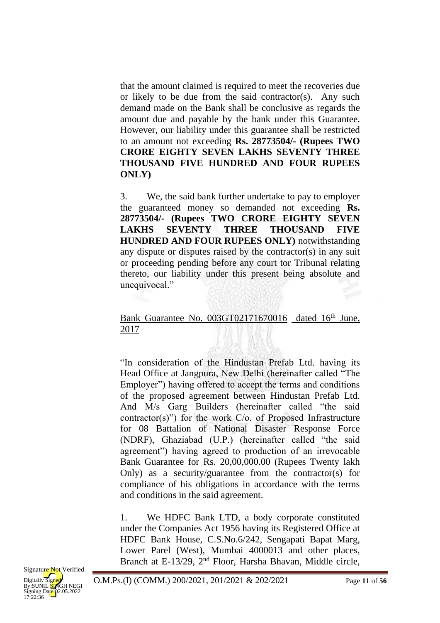that the amount claimed is required to meet the recoveries due or likely to be due from the said contractor(s). Any such demand made on the Bank shall be conclusive as regards the amount due and payable by the bank under this Guarantee. However, our liability under this guarantee shall be restricted to an amount not exceeding **Rs. 28773504/- (Rupees TWO CRORE EIGHTY SEVEN LAKHS SEVENTY THREE THOUSAND FIVE HUNDRED AND FOUR RUPEES ONLY)**

3. We, the said bank further undertake to pay to employer the guaranteed money so demanded not exceeding **Rs. 28773504/- (Rupees TWO CRORE EIGHTY SEVEN LAKHS SEVENTY THREE THOUSAND FIVE HUNDRED AND FOUR RUPEES ONLY)** notwithstanding any dispute or disputes raised by the contractor(s) in any suit or proceeding pending before any court tor Tribunal relating thereto, our liability under this present being absolute and unequivocal."

#### Bank Guarantee No. 003GT02171670016 dated 16<sup>th</sup> June, 2017

"In consideration of the Hindustan Prefab Ltd. having its Head Office at Jangpura, New Delhi (hereinafter called "The Employer") having offered to accept the terms and conditions of the proposed agreement between Hindustan Prefab Ltd. And M/s Garg Builders (hereinafter called "the said contractor(s)") for the work C/o. of Proposed Infrastructure for 08 Battalion of National Disaster Response Force (NDRF), Ghaziabad (U.P.) (hereinafter called "the said agreement") having agreed to production of an irrevocable Bank Guarantee for Rs. 20,00,000.00 (Rupees Twenty lakh Only) as a security/guarantee from the contractor(s) for compliance of his obligations in accordance with the terms and conditions in the said agreement.

1. We HDFC Bank LTD, a body corporate constituted under the Companies Act 1956 having its Registered Office at HDFC Bank House, C.S.No.6/242, Sengapati Bapat Marg, Lower Parel (West), Mumbai 4000013 and other places, Branch at E-13/29, 2nd Floor, Harsha Bhavan, Middle circle,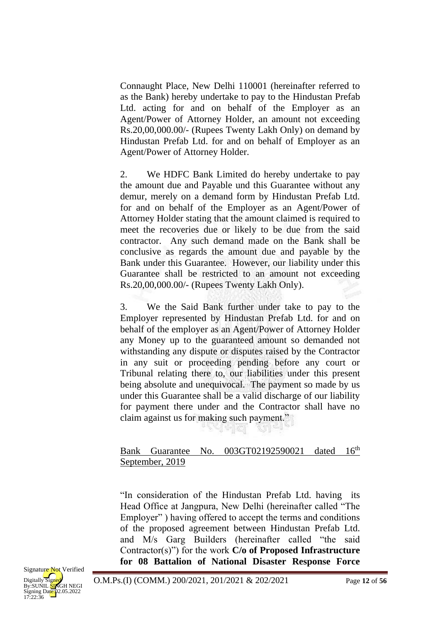Connaught Place, New Delhi 110001 (hereinafter referred to as the Bank) hereby undertake to pay to the Hindustan Prefab Ltd. acting for and on behalf of the Employer as an Agent/Power of Attorney Holder, an amount not exceeding Rs.20,00,000.00/- (Rupees Twenty Lakh Only) on demand by Hindustan Prefab Ltd. for and on behalf of Employer as an Agent/Power of Attorney Holder.

2. We HDFC Bank Limited do hereby undertake to pay the amount due and Payable und this Guarantee without any demur, merely on a demand form by Hindustan Prefab Ltd. for and on behalf of the Employer as an Agent/Power of Attorney Holder stating that the amount claimed is required to meet the recoveries due or likely to be due from the said contractor. Any such demand made on the Bank shall be conclusive as regards the amount due and payable by the Bank under this Guarantee. However, our liability under this Guarantee shall be restricted to an amount not exceeding Rs.20,00,000.00/- (Rupees Twenty Lakh Only).

3. We the Said Bank further under take to pay to the Employer represented by Hindustan Prefab Ltd. for and on behalf of the employer as an Agent/Power of Attorney Holder any Money up to the guaranteed amount so demanded not withstanding any dispute or disputes raised by the Contractor in any suit or proceeding pending before any court or Tribunal relating there to, our liabilities under this present being absolute and unequivocal. The payment so made by us under this Guarantee shall be a valid discharge of our liability for payment there under and the Contractor shall have no claim against us for making such payment."

Bank Guarantee No. 003GT02192590021 dated 16<sup>th</sup> September, 2019

s - 4 - 1 - 2 1

"In consideration of the Hindustan Prefab Ltd. having its Head Office at Jangpura, New Delhi (hereinafter called "The Employer" ) having offered to accept the terms and conditions of the proposed agreement between Hindustan Prefab Ltd. and M/s Garg Builders (hereinafter called "the said Contractor(s)") for the work **C/o of Proposed Infrastructure for 08 Battalion of National Disaster Response Force**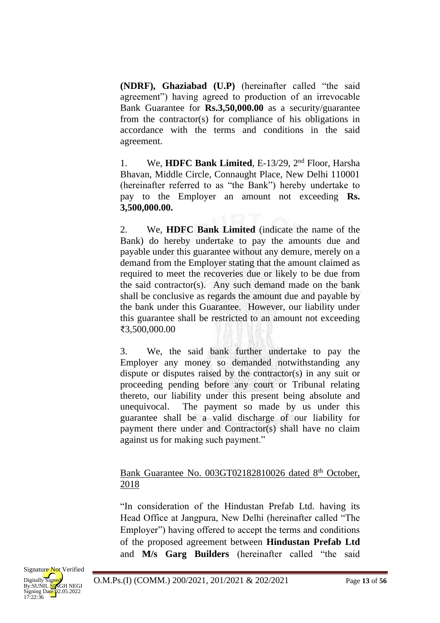**(NDRF), Ghaziabad (U.P)** (hereinafter called "the said agreement") having agreed to production of an irrevocable Bank Guarantee for **Rs.3,50,000.00** as a security/guarantee from the contractor(s) for compliance of his obligations in accordance with the terms and conditions in the said agreement.

1. We, **HDFC Bank Limited**, E-13/29, 2nd Floor, Harsha Bhavan, Middle Circle, Connaught Place, New Delhi 110001 (hereinafter referred to as "the Bank") hereby undertake to pay to the Employer an amount not exceeding **Rs. 3,500,000.00.**

2. We, **HDFC Bank Limited** (indicate the name of the Bank) do hereby undertake to pay the amounts due and payable under this guarantee without any demure, merely on a demand from the Employer stating that the amount claimed as required to meet the recoveries due or likely to be due from the said contractor(s). Any such demand made on the bank shall be conclusive as regards the amount due and payable by the bank under this Guarantee. However, our liability under this guarantee shall be restricted to an amount not exceeding ₹3,500,000.00

3. We, the said bank further undertake to pay the Employer any money so demanded notwithstanding any dispute or disputes raised by the contractor(s) in any suit or proceeding pending before any court or Tribunal relating thereto, our liability under this present being absolute and unequivocal. The payment so made by us under this guarantee shall be a valid discharge of our liability for payment there under and Contractor(s) shall have no claim against us for making such payment."

## Bank Guarantee No. 003GT02182810026 dated 8<sup>th</sup> October, 2018

"In consideration of the Hindustan Prefab Ltd. having its Head Office at Jangpura, New Delhi (hereinafter called "The Employer") having offered to accept the terms and conditions of the proposed agreement between **Hindustan Prefab Ltd**  and **M/s Garg Builders** (hereinafter called "the said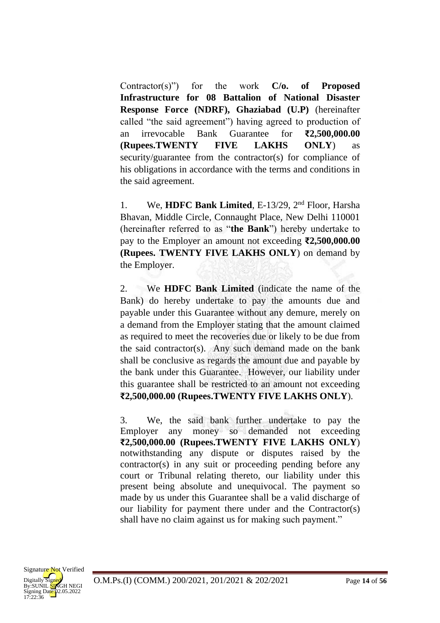Contractor(s)") for the work **C/o. of Proposed Infrastructure for 08 Battalion of National Disaster Response Force (NDRF), Ghaziabad (U.P)** (hereinafter called "the said agreement") having agreed to production of an irrevocable Bank Guarantee for **₹2,500,000.00 (Rupees.TWENTY FIVE LAKHS ONLY**) as security/guarantee from the contractor(s) for compliance of his obligations in accordance with the terms and conditions in the said agreement.

1. We, **HDFC Bank Limited**, E-13/29, 2nd Floor, Harsha Bhavan, Middle Circle, Connaught Place, New Delhi 110001 (hereinafter referred to as "**the Bank**") hereby undertake to pay to the Employer an amount not exceeding **₹2,500,000.00 (Rupees. TWENTY FIVE LAKHS ONLY**) on demand by the Employer.

2. We **HDFC Bank Limited** (indicate the name of the Bank) do hereby undertake to pay the amounts due and payable under this Guarantee without any demure, merely on a demand from the Employer stating that the amount claimed as required to meet the recoveries due or likely to be due from the said contractor(s). Any such demand made on the bank shall be conclusive as regards the amount due and payable by the bank under this Guarantee. However, our liability under this guarantee shall be restricted to an amount not exceeding **₹2,500,000.00 (Rupees.TWENTY FIVE LAKHS ONLY**).

3. We, the said bank further undertake to pay the Employer any money so demanded not exceeding **₹2,500,000.00 (Rupees.TWENTY FIVE LAKHS ONLY**) notwithstanding any dispute or disputes raised by the contractor(s) in any suit or proceeding pending before any court or Tribunal relating thereto, our liability under this present being absolute and unequivocal. The payment so made by us under this Guarantee shall be a valid discharge of our liability for payment there under and the Contractor(s) shall have no claim against us for making such payment."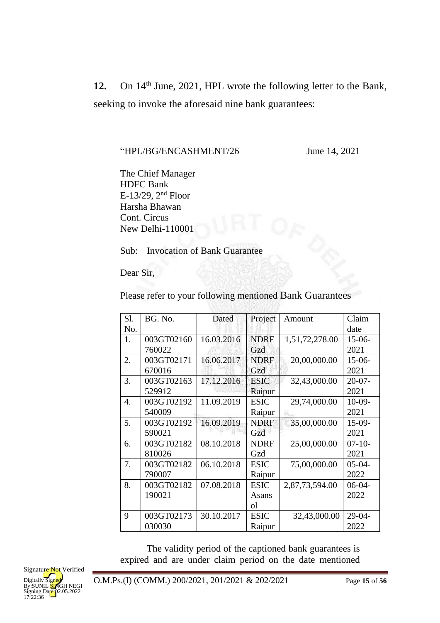12. On 14<sup>th</sup> June, 2021, HPL wrote the following letter to the Bank, seeking to invoke the aforesaid nine bank guarantees:

"HPL/BG/ENCASHMENT/26 June 14, 2021

The Chief Manager HDFC Bank E-13/29,  $2<sup>nd</sup>$  Floor Harsha Bhawan Cont. Circus New Delhi-110001

Sub: Invocation of Bank Guarantee

Dear Sir,

Please refer to your following mentioned Bank Guarantees

작전의 가장 상황을 읽었다

| S1. | BG. No.    | Dated      | Project       | Amount         | Claim       |
|-----|------------|------------|---------------|----------------|-------------|
| No. |            |            |               |                | date        |
| 1.  | 003GT02160 | 16.03.2016 | <b>NDRF</b>   | 1,51,72,278.00 | $15-06-$    |
|     | 760022     |            | Gzd           |                | 2021        |
| 2.  | 003GT02171 | 16.06.2017 | <b>NDRF</b>   | 20,00,000.00   | $15-06-$    |
|     | 670016     |            | Gzd           |                | 2021        |
| 3.  | 003GT02163 | 17.12.2016 | <b>ESIC</b>   | 32,43,000.00   | $20 - 07 -$ |
|     | 529912     |            | Raipur        |                | 2021        |
| 4.  | 003GT02192 | 11.09.2019 | <b>ESIC</b>   | 29,74,000.00   | $10-09-$    |
|     | 540009     |            | Raipur        |                | 2021        |
| 5.  | 003GT02192 | 16.09.2019 | <b>NDRF</b>   | 35,00,000.00   | $15-09-$    |
|     | 590021     |            | Gzd           |                | 2021        |
| 6.  | 003GT02182 | 08.10.2018 | <b>NDRF</b>   | 25,00,000.00   | $07-10-$    |
|     | 810026     |            | Gzd           |                | 2021        |
| 7.  | 003GT02182 | 06.10.2018 | <b>ESIC</b>   | 75,00,000.00   | $05-04-$    |
|     | 790007     |            | Raipur        |                | 2022        |
| 8.  | 003GT02182 | 07.08.2018 | <b>ESIC</b>   | 2,87,73,594.00 | $06-04-$    |
|     | 190021     |            | Asans         |                | 2022        |
|     |            |            | <sub>ol</sub> |                |             |
| 9   | 003GT02173 | 30.10.2017 | <b>ESIC</b>   | 32,43,000.00   | $29-04-$    |
|     | 030030     |            | Raipur        |                | 2022        |

The validity period of the captioned bank guarantees is expired and are under claim period on the date mentioned

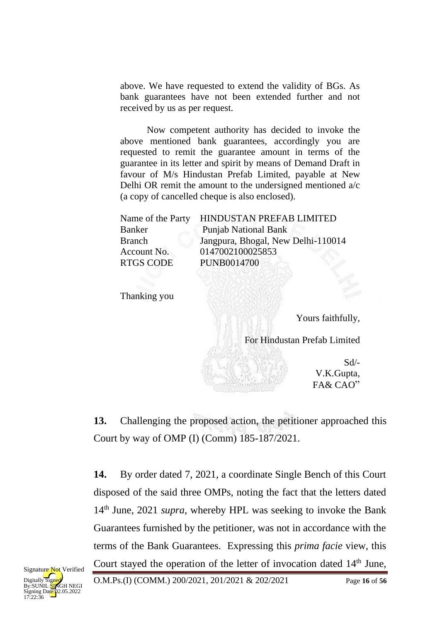above. We have requested to extend the validity of BGs. As bank guarantees have not been extended further and not received by us as per request.

Now competent authority has decided to invoke the above mentioned bank guarantees, accordingly you are requested to remit the guarantee amount in terms of the guarantee in its letter and spirit by means of Demand Draft in favour of M/s Hindustan Prefab Limited, payable at New Delhi OR remit the amount to the undersigned mentioned a/c (a copy of cancelled cheque is also enclosed).

| Name of the Party | HINDUSTAN PREFAB LIMITED           |
|-------------------|------------------------------------|
| Banker            | <b>Punjab National Bank</b>        |
| Branch            | Jangpura, Bhogal, New Delhi-110014 |
| Account No.       | 0147002100025853                   |
| <b>RTGS CODE</b>  | <b>PUNB0014700</b>                 |
|                   |                                    |

Thanking you

Yours faithfully,

For Hindustan Prefab Limited

Sd/- V.K.Gupta, FA& CAO"

**13.** Challenging the proposed action, the petitioner approached this Court by way of OMP (I) (Comm) 185-187/2021.

**14.** By order dated 7, 2021, a coordinate Single Bench of this Court disposed of the said three OMPs, noting the fact that the letters dated 14th June, 2021 *supra*, whereby HPL was seeking to invoke the Bank Guarantees furnished by the petitioner, was not in accordance with the terms of the Bank Guarantees. Expressing this *prima facie* view, this Court stayed the operation of the letter of invocation dated 14<sup>th</sup> June,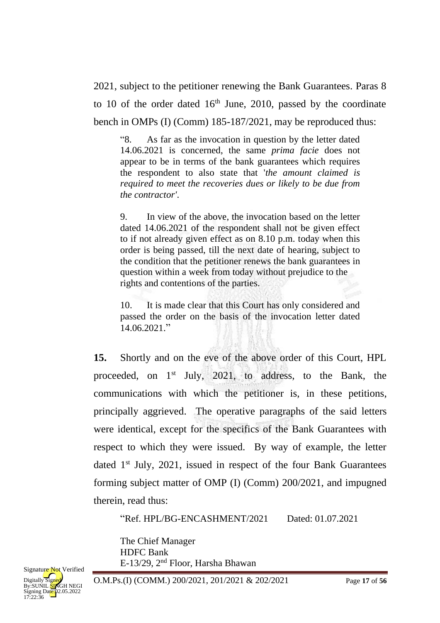2021, subject to the petitioner renewing the Bank Guarantees. Paras 8 to 10 of the order dated  $16<sup>th</sup>$  June, 2010, passed by the coordinate bench in OMPs (I) (Comm) 185-187/2021, may be reproduced thus:

"8. As far as the invocation in question by the letter dated 14.06.2021 is concerned, the same *prima facie* does not appear to be in terms of the bank guarantees which requires the respondent to also state that '*the amount claimed is required to meet the recoveries dues or likely to be due from the contractor'*.

9. In view of the above, the invocation based on the letter dated 14.06.2021 of the respondent shall not be given effect to if not already given effect as on 8.10 p.m. today when this order is being passed, till the next date of hearing, subject to the condition that the petitioner renews the bank guarantees in question within a week from today without prejudice to the rights and contentions of the parties.

10. It is made clear that this Court has only considered and passed the order on the basis of the invocation letter dated 14.06.2021."

**15.** Shortly and on the eve of the above order of this Court, HPL proceeded, on 1st July, 2021, to address, to the Bank, the communications with which the petitioner is, in these petitions, principally aggrieved. The operative paragraphs of the said letters were identical, except for the specifics of the Bank Guarantees with respect to which they were issued. By way of example, the letter dated  $1<sup>st</sup>$  July, 2021, issued in respect of the four Bank Guarantees forming subject matter of OMP (I) (Comm) 200/2021, and impugned therein, read thus:

"Ref. HPL/BG-ENCASHMENT/2021 Dated: 01.07.2021

The Chief Manager HDFC Bank E-13/29, 2nd Floor, Harsha Bhawan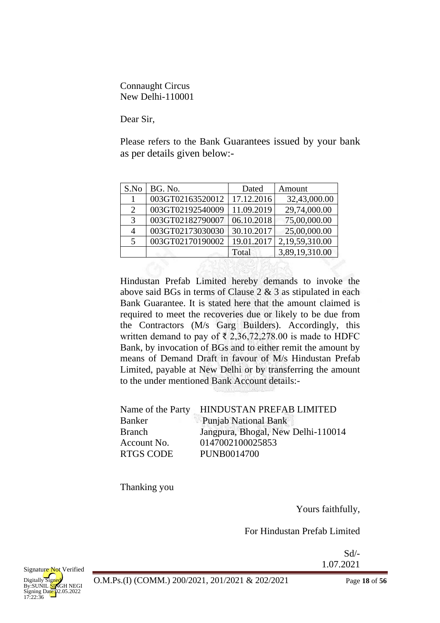Connaught Circus New Delhi-110001

Dear Sir,

Please refers to the Bank Guarantees issued by your bank as per details given below:-

| S.No                        | BG. No.          | Dated      | Amount         |
|-----------------------------|------------------|------------|----------------|
|                             | 003GT02163520012 | 17.12.2016 | 32,43,000.00   |
| $\mathcal{D}_{\mathcal{L}}$ | 003GT02192540009 | 11.09.2019 | 29,74,000.00   |
| $\mathcal{R}$               | 003GT02182790007 | 06.10.2018 | 75,00,000.00   |
| 4                           | 003GT02173030030 | 30.10.2017 | 25,00,000.00   |
| 5                           | 003GT02170190002 | 19.01.2017 | 2,19,59,310.00 |
|                             |                  | Total      | 3,89,19,310.00 |
|                             |                  |            |                |

Hindustan Prefab Limited hereby demands to invoke the above said BGs in terms of Clause 2 & 3 as stipulated in each Bank Guarantee. It is stated here that the amount claimed is required to meet the recoveries due or likely to be due from the Contractors (M/s Garg Builders). Accordingly, this written demand to pay of  $\bar{\xi}$  2,36,72,278.00 is made to HDFC Bank, by invocation of BGs and to either remit the amount by means of Demand Draft in favour of M/s Hindustan Prefab Limited, payable at New Delhi or by transferring the amount to the under mentioned Bank Account details:-

|                  | Name of the Party HINDUSTAN PREFAB LIMITED |
|------------------|--------------------------------------------|
| Banker           | <b>Punjab National Bank</b>                |
| <b>Branch</b>    | Jangpura, Bhogal, New Delhi-110014         |
| Account No.      | 0147002100025853                           |
| <b>RTGS CODE</b> | <b>PUNB0014700</b>                         |

Thanking you

Yours faithfully,

For Hindustan Prefab Limited

Sd/- 1.07.2021

O.M.Ps.(I) (COMM.) 200/2021, 201/2021 & 202/2021 Page **18** of **56**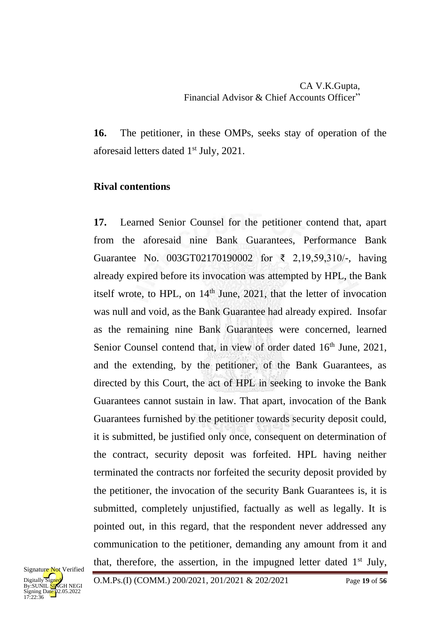# CA V.K.Gupta, Financial Advisor & Chief Accounts Officer"

**16.** The petitioner, in these OMPs, seeks stay of operation of the aforesaid letters dated 1 st July, 2021.

## **Rival contentions**

**17.** Learned Senior Counsel for the petitioner contend that, apart from the aforesaid nine Bank Guarantees, Performance Bank Guarantee No. 003GT02170190002 for ₹ 2,19,59,310/-, having already expired before its invocation was attempted by HPL, the Bank itself wrote, to HPL, on  $14<sup>th</sup>$  June, 2021, that the letter of invocation was null and void, as the Bank Guarantee had already expired. Insofar as the remaining nine Bank Guarantees were concerned, learned Senior Counsel contend that, in view of order dated 16<sup>th</sup> June, 2021, and the extending, by the petitioner, of the Bank Guarantees, as directed by this Court, the act of HPL in seeking to invoke the Bank Guarantees cannot sustain in law. That apart, invocation of the Bank Guarantees furnished by the petitioner towards security deposit could, it is submitted, be justified only once, consequent on determination of the contract, security deposit was forfeited. HPL having neither terminated the contracts nor forfeited the security deposit provided by the petitioner, the invocation of the security Bank Guarantees is, it is submitted, completely unjustified, factually as well as legally. It is pointed out, in this regard, that the respondent never addressed any communication to the petitioner, demanding any amount from it and that, therefore, the assertion, in the impugned letter dated  $1<sup>st</sup>$  July,

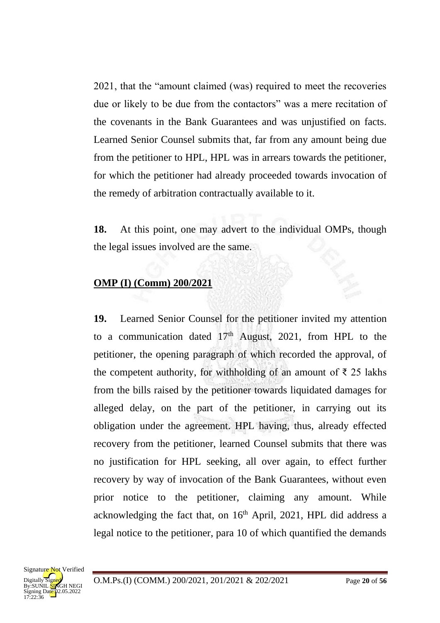2021, that the "amount claimed (was) required to meet the recoveries due or likely to be due from the contactors" was a mere recitation of the covenants in the Bank Guarantees and was unjustified on facts. Learned Senior Counsel submits that, far from any amount being due from the petitioner to HPL, HPL was in arrears towards the petitioner, for which the petitioner had already proceeded towards invocation of the remedy of arbitration contractually available to it.

**18.** At this point, one may advert to the individual OMPs, though the legal issues involved are the same.

# **OMP (I) (Comm) 200/2021**

**19.** Learned Senior Counsel for the petitioner invited my attention to a communication dated  $17<sup>th</sup>$  August, 2021, from HPL to the petitioner, the opening paragraph of which recorded the approval, of the competent authority, for withholding of an amount of  $\bar{\tau}$  25 lakhs from the bills raised by the petitioner towards liquidated damages for alleged delay, on the part of the petitioner, in carrying out its obligation under the agreement. HPL having, thus, already effected recovery from the petitioner, learned Counsel submits that there was no justification for HPL seeking, all over again, to effect further recovery by way of invocation of the Bank Guarantees, without even prior notice to the petitioner, claiming any amount. While acknowledging the fact that, on 16<sup>th</sup> April, 2021, HPL did address a legal notice to the petitioner, para 10 of which quantified the demands

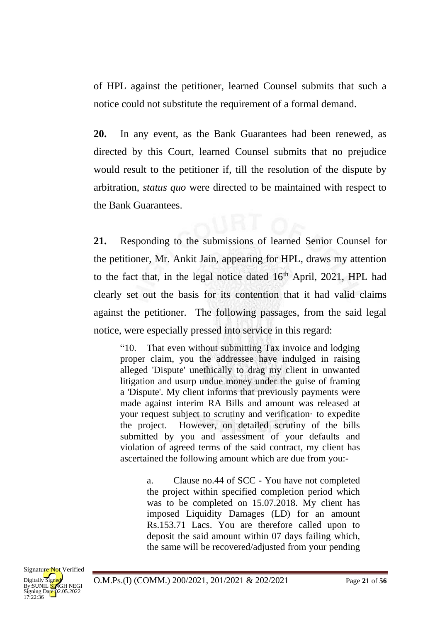of HPL against the petitioner, learned Counsel submits that such a notice could not substitute the requirement of a formal demand.

**20.** In any event, as the Bank Guarantees had been renewed, as directed by this Court, learned Counsel submits that no prejudice would result to the petitioner if, till the resolution of the dispute by arbitration, *status quo* were directed to be maintained with respect to the Bank Guarantees.

**21.** Responding to the submissions of learned Senior Counsel for the petitioner, Mr. Ankit Jain, appearing for HPL, draws my attention to the fact that, in the legal notice dated  $16<sup>th</sup>$  April, 2021, HPL had clearly set out the basis for its contention that it had valid claims against the petitioner. The following passages, from the said legal notice, were especially pressed into service in this regard:

"10. That even without submitting Tax invoice and lodging proper claim, you the addressee have indulged in raising alleged 'Dispute' unethically to drag my client in unwanted litigation and usurp undue money under the guise of framing a 'Dispute'. My client informs that previously payments were made against interim RA Bills and amount was released at your request subject to scrutiny and verification· to expedite the project. However, on detailed scrutiny of the bills submitted by you and assessment of your defaults and violation of agreed terms of the said contract, my client has ascertained the following amount which are due from you:-

> a. Clause no.44 of SCC - You have not completed the project within specified completion period which was to be completed on 15.07.2018. My client has imposed Liquidity Damages (LD) for an amount Rs.153.71 Lacs. You are therefore called upon to deposit the said amount within 07 days failing which, the same will be recovered/adjusted from your pending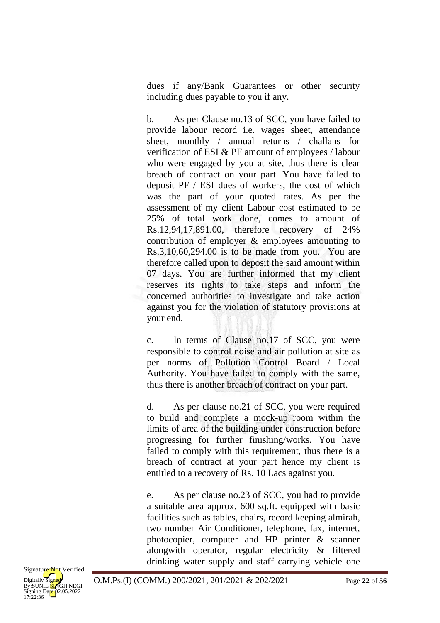dues if any/Bank Guarantees or other security including dues payable to you if any.

b. As per Clause no.13 of SCC, you have failed to provide labour record i.e. wages sheet, attendance sheet, monthly / annual returns / challans for verification of ESI & PF amount of employees / labour who were engaged by you at site, thus there is clear breach of contract on your part. You have failed to deposit PF / ESI dues of workers, the cost of which was the part of your quoted rates. As per the assessment of my client Labour cost estimated to be 25% of total work done, comes to amount of Rs.12,94,17,891.00, therefore recovery of 24% contribution of employer & employees amounting to Rs.3,10,60,294.00 is to be made from you. You are therefore called upon to deposit the said amount within 07 days. You are further informed that my client reserves its rights to take steps and inform the concerned authorities to investigate and take action against you for the violation of statutory provisions at your end.

c. In terms of Clause no.17 of SCC, you were responsible to control noise and air pollution at site as per norms of Pollution Control Board / Local Authority. You have failed to comply with the same, thus there is another breach of contract on your part.

d. As per clause no.21 of SCC, you were required to build and complete a mock-up room within the limits of area of the building under construction before progressing for further finishing/works. You have failed to comply with this requirement, thus there is a breach of contract at your part hence my client is entitled to a recovery of Rs. 10 Lacs against you.

e. As per clause no.23 of SCC, you had to provide a suitable area approx. 600 sq.ft. equipped with basic facilities such as tables, chairs, record keeping almirah, two number Air Conditioner, telephone, fax, internet, photocopier, computer and HP printer & scanner alongwith operator, regular electricity & filtered drinking water supply and staff carrying vehicle one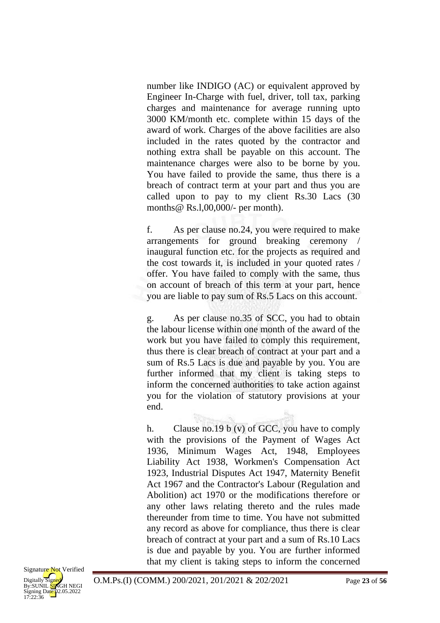number like INDIGO (AC) or equivalent approved by Engineer In-Charge with fuel, driver, toll tax, parking charges and maintenance for average running upto 3000 KM/month etc. complete within 15 days of the award of work. Charges of the above facilities are also included in the rates quoted by the contractor and nothing extra shall be payable on this account. The maintenance charges were also to be borne by you. You have failed to provide the same, thus there is a breach of contract term at your part and thus you are called upon to pay to my client Rs.30 Lacs (30 months@ Rs.l,00,000/- per month).

f. As per clause no.24, you were required to make arrangements for ground breaking ceremony / inaugural function etc. for the projects as required and the cost towards it, is included in your quoted rates / offer. You have failed to comply with the same, thus on account of breach of this term at your part, hence you are liable to pay sum of Rs.5 Lacs on this account.

g. As per clause no.35 of SCC, you had to obtain the labour license within one month of the award of the work but you have failed to comply this requirement, thus there is clear breach of contract at your part and a sum of Rs.5 Lacs is due and payable by you. You are further informed that my client is taking steps to inform the concerned authorities to take action against you for the violation of statutory provisions at your end.

h. Clause no.19 b (v) of GCC, you have to comply with the provisions of the Payment of Wages Act 1936, Minimum Wages Act, 1948, Employees Liability Act 1938, Workmen's Compensation Act 1923, Industrial Disputes Act 1947, Maternity Benefit Act 1967 and the Contractor's Labour (Regulation and Abolition) act 1970 or the modifications therefore or any other laws relating thereto and the rules made thereunder from time to time. You have not submitted any record as above for compliance, thus there is clear breach of contract at your part and a sum of Rs.10 Lacs is due and payable by you. You are further informed that my client is taking steps to inform the concerned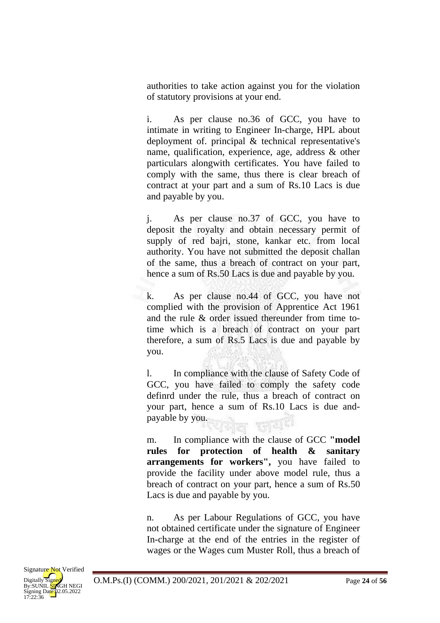authorities to take action against you for the violation of statutory provisions at your end.

i. As per clause no.36 of GCC, you have to intimate in writing to Engineer In-charge, HPL about deployment of. principal & technical representative's name, qualification, experience, age, address & other particulars alongwith certificates. You have failed to comply with the same, thus there is clear breach of contract at your part and a sum of Rs.10 Lacs is due and payable by you.

j. As per clause no.37 of GCC, you have to deposit the royalty and obtain necessary permit of supply of red bajri, stone, kankar etc. from local authority. You have not submitted the deposit challan of the same, thus a breach of contract on your part, hence a sum of Rs.50 Lacs is due and payable by you.

k. As per clause no.44 of GCC, you have not complied with the provision of Apprentice Act 1961 and the rule & order issued thereunder from time totime which is a breach of contract on your part therefore, a sum of Rs.5 Lacs is due and payable by you.

l. In compliance with the clause of Safety Code of GCC, you have failed to comply the safety code definrd under the rule, thus a breach of contract on your part, hence a sum of Rs.10 Lacs is due andpayable by you. 뒷집 건물의

m. In compliance with the clause of GCC **"model rules for protection of health & sanitary arrangements for workers",** you have failed to provide the facility under above model rule, thus a breach of contract on your part, hence a sum of Rs.50 Lacs is due and payable by you.

n. As per Labour Regulations of GCC, you have not obtained certificate under the signature of Engineer In-charge at the end of the entries in the register of wages or the Wages cum Muster Roll, thus a breach of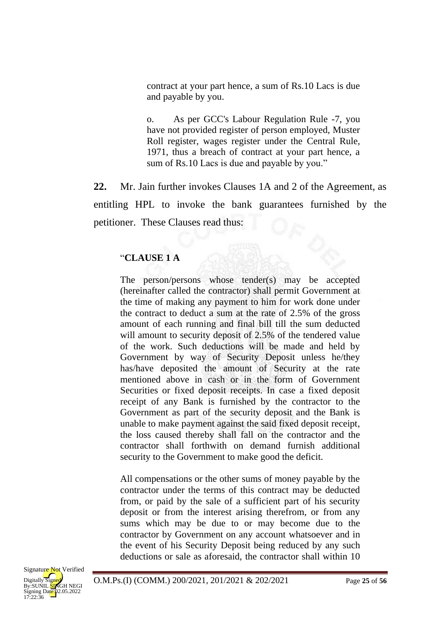contract at your part hence, a sum of Rs.10 Lacs is due and payable by you.

o. As per GCC's Labour Regulation Rule -7, you have not provided register of person employed, Muster Roll register, wages register under the Central Rule, 1971, thus a breach of contract at your part hence, a sum of Rs.10 Lacs is due and payable by you."

**22.** Mr. Jain further invokes Clauses 1A and 2 of the Agreement, as entitling HPL to invoke the bank guarantees furnished by the petitioner. These Clauses read thus:

#### "**CLAUSE 1 A**

The person/persons whose tender(s) may be accepted (hereinafter called the contractor) shall permit Government at the time of making any payment to him for work done under the contract to deduct a sum at the rate of 2.5% of the gross amount of each running and final bill till the sum deducted will amount to security deposit of 2.5% of the tendered value of the work. Such deductions will be made and held by Government by way of Security Deposit unless he/they has/have deposited the amount of Security at the rate mentioned above in cash or in the form of Government Securities or fixed deposit receipts. In case a fixed deposit receipt of any Bank is furnished by the contractor to the Government as part of the security deposit and the Bank is unable to make payment against the said fixed deposit receipt, the loss caused thereby shall fall on the contractor and the contractor shall forthwith on demand furnish additional security to the Government to make good the deficit.

All compensations or the other sums of money payable by the contractor under the terms of this contract may be deducted from, or paid by the sale of a sufficient part of his security deposit or from the interest arising therefrom, or from any sums which may be due to or may become due to the contractor by Government on any account whatsoever and in the event of his Security Deposit being reduced by any such deductions or sale as aforesaid, the contractor shall within 10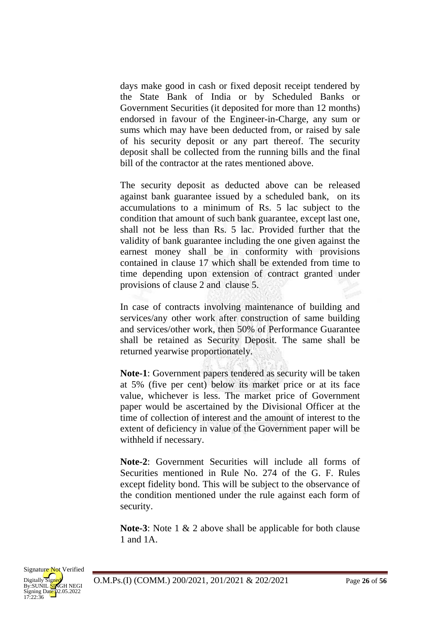days make good in cash or fixed deposit receipt tendered by the State Bank of India or by Scheduled Banks or Government Securities (it deposited for more than 12 months) endorsed in favour of the Engineer-in-Charge, any sum or sums which may have been deducted from, or raised by sale of his security deposit or any part thereof. The security deposit shall be collected from the running bills and the final bill of the contractor at the rates mentioned above.

The security deposit as deducted above can be released against bank guarantee issued by a scheduled bank, on its accumulations to a minimum of Rs. 5 lac subject to the condition that amount of such bank guarantee, except last one, shall not be less than Rs. 5 lac. Provided further that the validity of bank guarantee including the one given against the earnest money shall be in conformity with provisions contained in clause 17 which shall be extended from time to time depending upon extension of contract granted under provisions of clause 2 and clause 5.

In case of contracts involving maintenance of building and services/any other work after construction of same building and services/other work, then 50% of Performance Guarantee shall be retained as Security Deposit. The same shall be returned yearwise proportionately.

**Note-1**: Government papers tendered as security will be taken at 5% (five per cent) below its market price or at its face value*,* whichever is less. The market price of Government paper would be ascertained by the Divisional Officer at the time of collection of interest and the amount of interest to the extent of deficiency in value of the Government paper will be withheld if necessary.

**Note-2**: Government Securities will include all forms of Securities mentioned in Rule No. 274 of the G. F. Rules except fidelity bond. This will be subject to the observance of the condition mentioned under the rule against each form of security.

**Note-3**: Note 1 & 2 above shall be applicable for both clause 1 and 1A.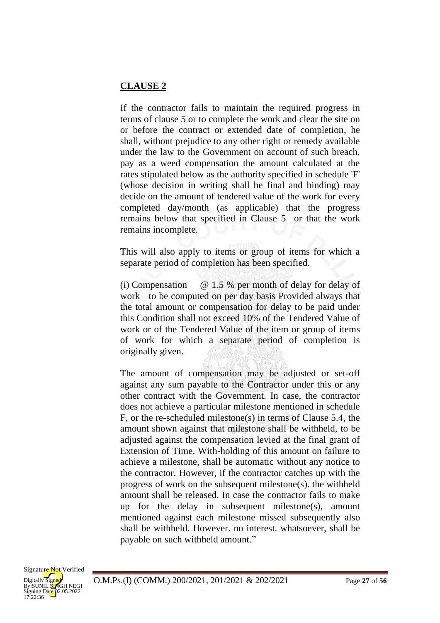## **CLAUSE 2**

If the contractor fails to maintain the required progress in terms of clause 5 or to complete the work and clear the site on or before the contract or extended date of completion, he shall, without prejudice to any other right or remedy available under the law to the Government on account of such breach, pay as a weed compensation the amount calculated at the rates stipulated below as the authority specified in schedule 'F' (whose decision in writing shall be final and binding) may decide on the amount of tendered value of the work for every completed day/month (as applicable) that the progress remains below that specified in Clause 5 or that the work remains incomplete.

This will also apply to items or group of items for which a separate period of completion has been specified.

(i) Compensation @ 1.5 % per month of delay for delay of work to be computed on per day basis Provided always that the total amount or compensation for delay to be paid under this Condition shall not exceed 10% of the Tendered Value of work or of the Tendered Value of the item or group of items of work for which a separate period of completion is originally given.

The amount of compensation may be adjusted or set-off against any sum payable to the Contractor under this or any other contract with the Government. In case, the contractor does not achieve a particular milestone mentioned in schedule F, or the re-scheduled milestone(s) in terms of Clause 5.4, the amount shown against that milestone shall be withheld, to be adjusted against the compensation levied at the final grant of Extension of Time. With-holding of this amount on failure to achieve a milestone, shall be automatic without any notice to the contractor. However, if the contractor catches up with the progress of work on the subsequent milestone(s). the withheld amount shall be released. In case the contractor fails to make up for the delay in subsequent milestone(s), amount mentioned against each milestone missed subsequently also shall be withheld. However. no interest. whatsoever, shall be payable on such withheld amount."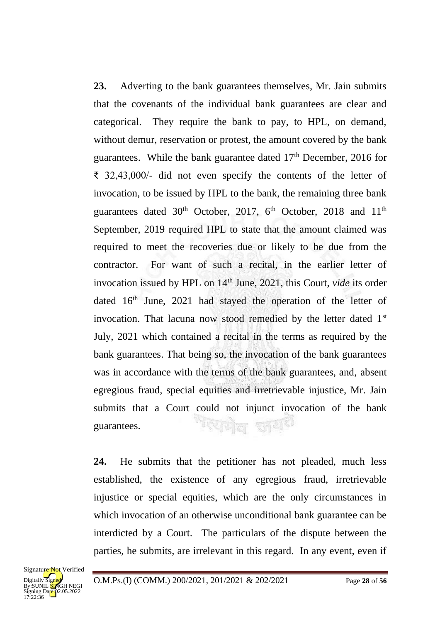**23.** Adverting to the bank guarantees themselves, Mr. Jain submits that the covenants of the individual bank guarantees are clear and categorical. They require the bank to pay, to HPL, on demand, without demur, reservation or protest, the amount covered by the bank guarantees. While the bank guarantee dated  $17<sup>th</sup>$  December, 2016 for ₹ 32,43,000/- did not even specify the contents of the letter of invocation, to be issued by HPL to the bank, the remaining three bank guarantees dated 30<sup>th</sup> October, 2017, 6<sup>th</sup> October, 2018 and 11<sup>th</sup> September, 2019 required HPL to state that the amount claimed was required to meet the recoveries due or likely to be due from the contractor. For want of such a recital, in the earlier letter of invocation issued by HPL on 14<sup>th</sup> June, 2021, this Court, *vide* its order dated  $16<sup>th</sup>$  June, 2021 had stayed the operation of the letter of invocation. That lacuna now stood remedied by the letter dated 1<sup>st</sup> July, 2021 which contained a recital in the terms as required by the bank guarantees. That being so, the invocation of the bank guarantees was in accordance with the terms of the bank guarantees, and, absent egregious fraud, special equities and irretrievable injustice, Mr. Jain submits that a Court could not injunct invocation of the bank <sup>भर</sup>राजेल सार्थ<sup>हा</sup> guarantees.

**24.** He submits that the petitioner has not pleaded, much less established, the existence of any egregious fraud, irretrievable injustice or special equities, which are the only circumstances in which invocation of an otherwise unconditional bank guarantee can be interdicted by a Court. The particulars of the dispute between the parties, he submits, are irrelevant in this regard. In any event, even if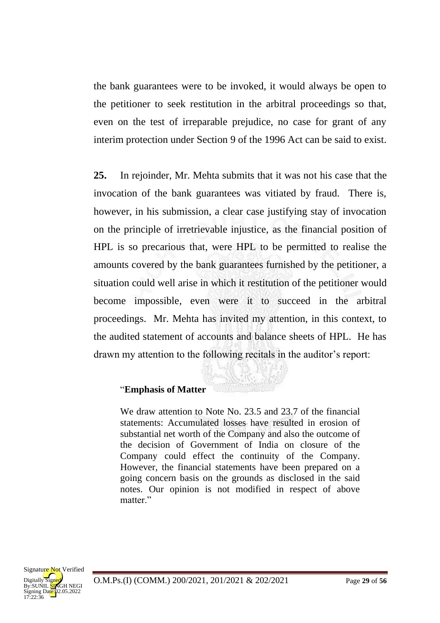the bank guarantees were to be invoked, it would always be open to the petitioner to seek restitution in the arbitral proceedings so that, even on the test of irreparable prejudice, no case for grant of any interim protection under Section 9 of the 1996 Act can be said to exist.

**25.** In rejoinder, Mr. Mehta submits that it was not his case that the invocation of the bank guarantees was vitiated by fraud. There is, however, in his submission, a clear case justifying stay of invocation on the principle of irretrievable injustice, as the financial position of HPL is so precarious that, were HPL to be permitted to realise the amounts covered by the bank guarantees furnished by the petitioner, a situation could well arise in which it restitution of the petitioner would become impossible, even were it to succeed in the arbitral proceedings. Mr. Mehta has invited my attention, in this context, to the audited statement of accounts and balance sheets of HPL. He has drawn my attention to the following recitals in the auditor's report:

#### "**Emphasis of Matter**

We draw attention to Note No. 23.5 and 23.7 of the financial statements: Accumulated losses have resulted in erosion of substantial net worth of the Company and also the outcome of the decision of Government of India on closure of the Company could effect the continuity of the Company. However, the financial statements have been prepared on a going concern basis on the grounds as disclosed in the said notes. Our opinion is not modified in respect of above matter<sup>"</sup>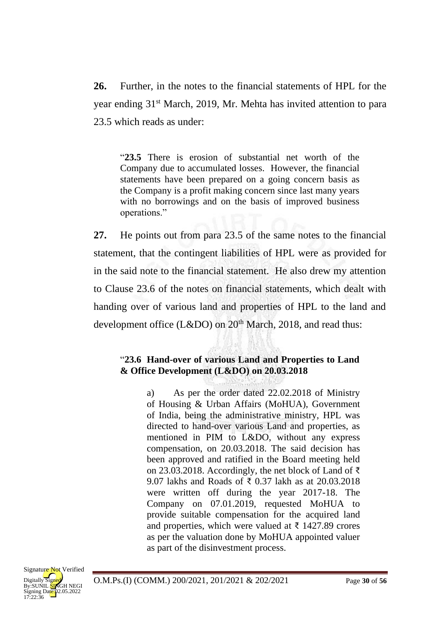**26.** Further, in the notes to the financial statements of HPL for the year ending 31<sup>st</sup> March, 2019, Mr. Mehta has invited attention to para 23.5 which reads as under:

"**23.5** There is erosion of substantial net worth of the Company due to accumulated losses. However, the financial statements have been prepared on a going concern basis as the Company is a profit making concern since last many years with no borrowings and on the basis of improved business operations."

**27.** He points out from para 23.5 of the same notes to the financial statement, that the contingent liabilities of HPL were as provided for in the said note to the financial statement. He also drew my attention to Clause 23.6 of the notes on financial statements, which dealt with handing over of various land and properties of HPL to the land and development office (L&DO) on  $20<sup>th</sup>$  March, 2018, and read thus:

## "**23.6 Hand-over of various Land and Properties to Land & Office Development (L&DO) on 20.03.2018**

a) As per the order dated 22.02.2018 of Ministry of Housing & Urban Affairs (MoHUA), Government of India, being the administrative ministry, HPL was directed to hand-over various Land and properties, as mentioned in PIM to L&DO, without any express compensation, on 20.03.2018. The said decision has been approved and ratified in the Board meeting held on 23.03.2018. Accordingly, the net block of Land of ₹ 9.07 lakhs and Roads of ₹ 0.37 lakh as at 20.03.2018 were written off during the year 2017-18. The Company on 07.01.2019, requested MoHUA to provide suitable compensation for the acquired land and properties, which were valued at  $\bar{\tau}$  1427.89 crores as per the valuation done by MoHUA appointed valuer as part of the disinvestment process.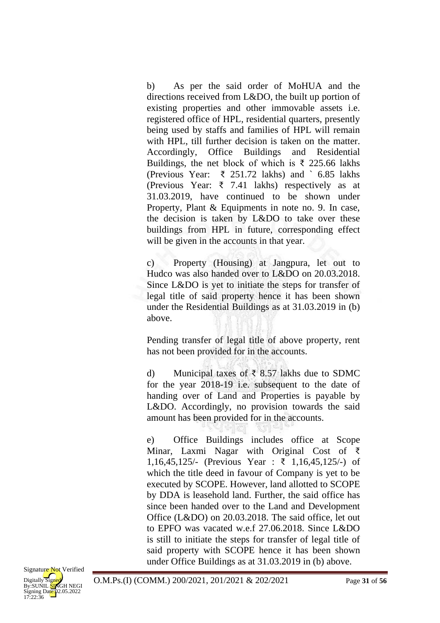b) As per the said order of MoHUA and the directions received from L&DO, the built up portion of existing properties and other immovable assets i.e. registered office of HPL, residential quarters, presently being used by staffs and families of HPL will remain with HPL, till further decision is taken on the matter. Accordingly, Office Buildings and Residential Buildings, the net block of which is  $\bar{\xi}$  225.66 lakhs (Previous Year: ₹ 251.72 lakhs) and ` 6.85 lakhs (Previous Year: ₹ 7.41 lakhs) respectively as at 31.03.2019, have continued to be shown under Property, Plant & Equipments in note no. 9. In case, the decision is taken by L&DO to take over these buildings from HPL in future, corresponding effect will be given in the accounts in that year.

c) Property (Housing) at Jangpura, let out to Hudco was also handed over to L&DO on 20.03.2018. Since L&DO is yet to initiate the steps for transfer of legal title of said property hence it has been shown under the Residential Buildings as at 31.03.2019 in (b) above.

Pending transfer of legal title of above property, rent has not been provided for in the accounts.

d) Municipal taxes of ₹ 8.57 lakhs due to SDMC for the year 2018-19 i.e. subsequent to the date of handing over of Land and Properties is payable by L&DO. Accordingly, no provision towards the said amount has been provided for in the accounts.

e) Office Buildings includes office at Scope Minar, Laxmi Nagar with Original Cost of ₹ 1,16,45,125/- (Previous Year : ₹ 1,16,45,125/-) of which the title deed in favour of Company is yet to be executed by SCOPE. However, land allotted to SCOPE by DDA is leasehold land. Further, the said office has since been handed over to the Land and Development Office (L&DO) on 20.03.2018. The said office, let out to EPFO was vacated w.e.f 27.06.2018. Since L&DO is still to initiate the steps for transfer of legal title of said property with SCOPE hence it has been shown under Office Buildings as at 31.03.2019 in (b) above.

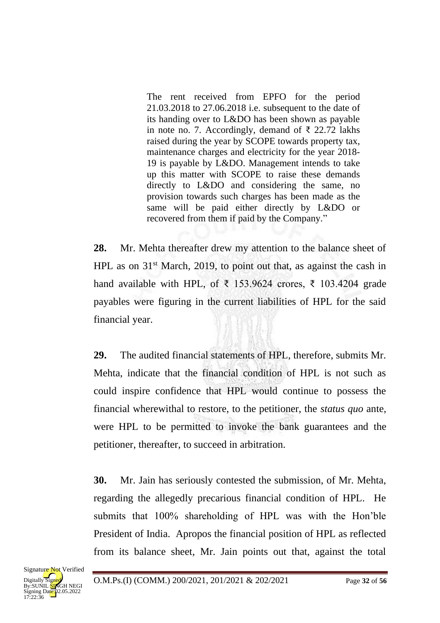The rent received from EPFO for the period 21.03.2018 to 27.06.2018 i.e. subsequent to the date of its handing over to L&DO has been shown as payable in note no. 7. Accordingly, demand of ₹ 22.72 lakhs raised during the year by SCOPE towards property tax, maintenance charges and electricity for the year 2018- 19 is payable by L&DO. Management intends to take up this matter with SCOPE to raise these demands directly to L&DO and considering the same, no provision towards such charges has been made as the same will be paid either directly by L&DO or recovered from them if paid by the Company."

**28.** Mr. Mehta thereafter drew my attention to the balance sheet of HPL as on  $31<sup>st</sup>$  March, 2019, to point out that, as against the cash in hand available with HPL, of  $\bar{\tau}$  153.9624 crores,  $\bar{\tau}$  103.4204 grade payables were figuring in the current liabilities of HPL for the said financial year.

**29.** The audited financial statements of HPL, therefore, submits Mr. Mehta, indicate that the financial condition of HPL is not such as could inspire confidence that HPL would continue to possess the financial wherewithal to restore, to the petitioner, the *status quo* ante, were HPL to be permitted to invoke the bank guarantees and the petitioner, thereafter, to succeed in arbitration.

**30.** Mr. Jain has seriously contested the submission, of Mr. Mehta, regarding the allegedly precarious financial condition of HPL. He submits that 100% shareholding of HPL was with the Hon'ble President of India. Apropos the financial position of HPL as reflected from its balance sheet, Mr. Jain points out that, against the total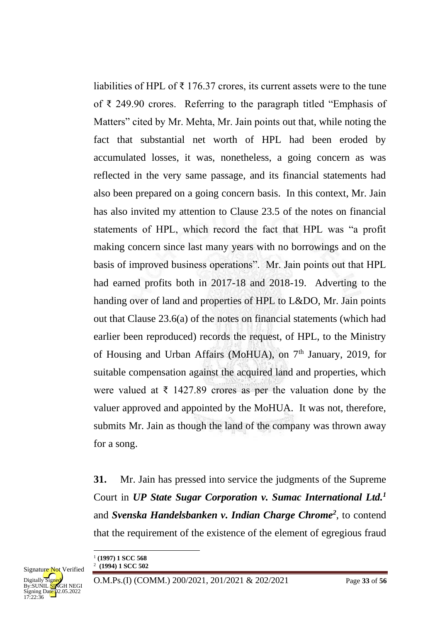liabilities of HPL of  $\bar{\tau}$  176.37 crores, its current assets were to the tune of ₹ 249.90 crores. Referring to the paragraph titled "Emphasis of Matters" cited by Mr. Mehta, Mr. Jain points out that, while noting the fact that substantial net worth of HPL had been eroded by accumulated losses, it was, nonetheless, a going concern as was reflected in the very same passage, and its financial statements had also been prepared on a going concern basis. In this context, Mr. Jain has also invited my attention to Clause 23.5 of the notes on financial statements of HPL, which record the fact that HPL was "a profit making concern since last many years with no borrowings and on the basis of improved business operations". Mr. Jain points out that HPL had earned profits both in 2017-18 and 2018-19. Adverting to the handing over of land and properties of HPL to L&DO, Mr. Jain points out that Clause 23.6(a) of the notes on financial statements (which had earlier been reproduced) records the request, of HPL, to the Ministry of Housing and Urban Affairs (MoHUA), on 7<sup>th</sup> January, 2019, for suitable compensation against the acquired land and properties, which were valued at  $\bar{\tau}$  1427.89 crores as per the valuation done by the valuer approved and appointed by the MoHUA. It was not, therefore, submits Mr. Jain as though the land of the company was thrown away for a song.

**31.** Mr. Jain has pressed into service the judgments of the Supreme Court in *UP State Sugar Corporation v. Sumac International Ltd.<sup>1</sup>* and *Svenska Handelsbanken v. Indian Charge Chrome<sup>2</sup>* , to contend that the requirement of the existence of the element of egregious fraud

<sup>1</sup> **(1997) 1 SCC 568**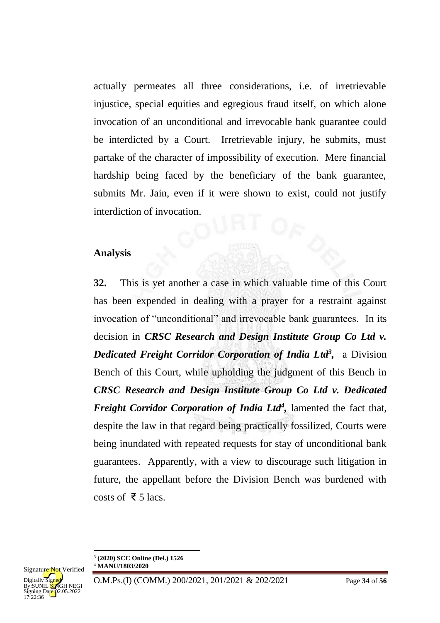actually permeates all three considerations, i.e. of irretrievable injustice, special equities and egregious fraud itself, on which alone invocation of an unconditional and irrevocable bank guarantee could be interdicted by a Court. Irretrievable injury, he submits, must partake of the character of impossibility of execution. Mere financial hardship being faced by the beneficiary of the bank guarantee, submits Mr. Jain, even if it were shown to exist, could not justify interdiction of invocation.

## **Analysis**

**32.** This is yet another a case in which valuable time of this Court has been expended in dealing with a prayer for a restraint against invocation of "unconditional" and irrevocable bank guarantees. In its decision in *CRSC Research and Design Institute Group Co Ltd v.*  **Dedicated Freight Corridor Corporation of India Ltd<sup>3</sup>, a Division** Bench of this Court, while upholding the judgment of this Bench in *CRSC Research and Design Institute Group Co Ltd v. Dedicated*  Freight Corridor Corporation of India Ltd<sup>4</sup>, lamented the fact that, despite the law in that regard being practically fossilized, Courts were being inundated with repeated requests for stay of unconditional bank guarantees. Apparently, with a view to discourage such litigation in future, the appellant before the Division Bench was burdened with costs of  $\bar{\xi}$  5 lacs.

<sup>3</sup> **(2020) SCC Online (Del.) 1526** <sup>4</sup> **MANU/1803/2020**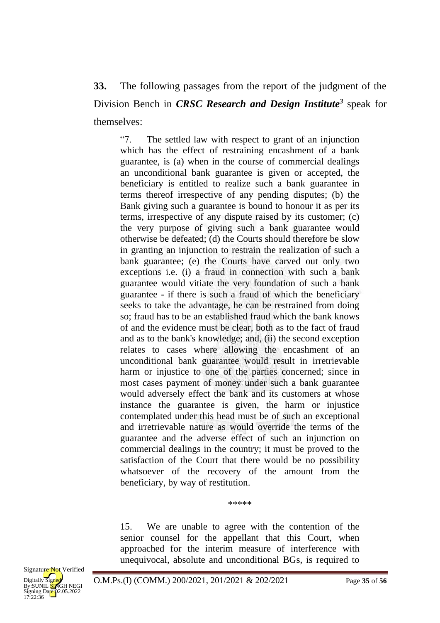# **33.** The following passages from the report of the judgment of the Division Bench in *CRSC Research and Design Institute<sup>3</sup>* speak for themselves:

"7. The settled law with respect to grant of an injunction which has the effect of restraining encashment of a bank guarantee, is (a) when in the course of commercial dealings an unconditional bank guarantee is given or accepted, the beneficiary is entitled to realize such a bank guarantee in terms thereof irrespective of any pending disputes; (b) the Bank giving such a guarantee is bound to honour it as per its terms, irrespective of any dispute raised by its customer; (c) the very purpose of giving such a bank guarantee would otherwise be defeated; (d) the Courts should therefore be slow in granting an injunction to restrain the realization of such a bank guarantee; (e) the Courts have carved out only two exceptions i.e. (i) a fraud in connection with such a bank guarantee would vitiate the very foundation of such a bank guarantee - if there is such a fraud of which the beneficiary seeks to take the advantage, he can be restrained from doing so; fraud has to be an established fraud which the bank knows of and the evidence must be clear, both as to the fact of fraud and as to the bank's knowledge; and, (ii) the second exception relates to cases where allowing the encashment of an unconditional bank guarantee would result in irretrievable harm or injustice to one of the parties concerned; since in most cases payment of money under such a bank guarantee would adversely effect the bank and its customers at whose instance the guarantee is given, the harm or injustice contemplated under this head must be of such an exceptional and irretrievable nature as would override the terms of the guarantee and the adverse effect of such an injunction on commercial dealings in the country; it must be proved to the satisfaction of the Court that there would be no possibility whatsoever of the recovery of the amount from the beneficiary, by way of restitution.

15. We are unable to agree with the contention of the senior counsel for the appellant that this Court, when approached for the interim measure of interference with unequivocal, absolute and unconditional BGs, is required to

\*\*\*\*\*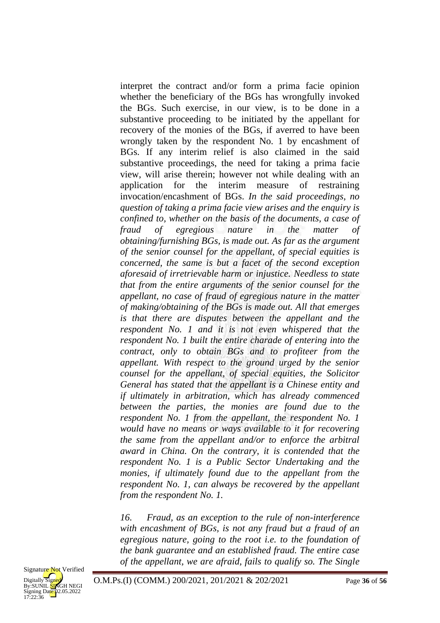interpret the contract and/or form a prima facie opinion whether the beneficiary of the BGs has wrongfully invoked the BGs. Such exercise, in our view, is to be done in a substantive proceeding to be initiated by the appellant for recovery of the monies of the BGs, if averred to have been wrongly taken by the respondent No. 1 by encashment of BGs. If any interim relief is also claimed in the said substantive proceedings, the need for taking a prima facie view, will arise therein; however not while dealing with an application for the interim measure of restraining invocation/encashment of BGs. *In the said proceedings, no question of taking a prima facie view arises and the enquiry is confined to, whether on the basis of the documents, a case of fraud of egregious nature in the matter of obtaining/furnishing BGs, is made out. As far as the argument of the senior counsel for the appellant, of special equities is concerned, the same is but a facet of the second exception aforesaid of irretrievable harm or injustice. Needless to state that from the entire arguments of the senior counsel for the appellant, no case of fraud of egregious nature in the matter of making/obtaining of the BGs is made out. All that emerges is that there are disputes between the appellant and the respondent No. 1 and it is not even whispered that the respondent No. 1 built the entire charade of entering into the contract, only to obtain BGs and to profiteer from the appellant. With respect to the ground urged by the senior counsel for the appellant, of special equities, the Solicitor General has stated that the appellant is a Chinese entity and if ultimately in arbitration, which has already commenced between the parties, the monies are found due to the respondent No. 1 from the appellant, the respondent No. 1 would have no means or ways available to it for recovering the same from the appellant and/or to enforce the arbitral award in China. On the contrary, it is contended that the respondent No. 1 is a Public Sector Undertaking and the monies, if ultimately found due to the appellant from the respondent No. 1, can always be recovered by the appellant from the respondent No. 1.* 

*16. Fraud, as an exception to the rule of non-interference with encashment of BGs, is not any fraud but a fraud of an egregious nature, going to the root i.e. to the foundation of the bank guarantee and an established fraud. The entire case of the appellant, we are afraid, fails to qualify so. The Single* 

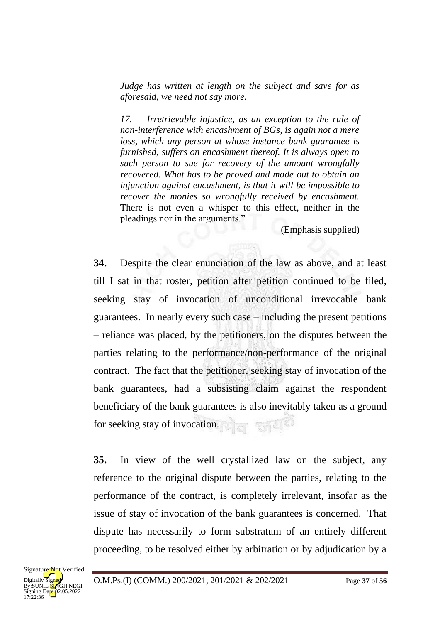*Judge has written at length on the subject and save for as aforesaid, we need not say more.* 

*17. Irretrievable injustice, as an exception to the rule of non-interference with encashment of BGs, is again not a mere loss, which any person at whose instance bank guarantee is furnished, suffers on encashment thereof. It is always open to such person to sue for recovery of the amount wrongfully recovered. What has to be proved and made out to obtain an injunction against encashment, is that it will be impossible to recover the monies so wrongfully received by encashment.*  There is not even a whisper to this effect, neither in the pleadings nor in the arguments."

(Emphasis supplied)

**34.** Despite the clear enunciation of the law as above, and at least till I sat in that roster, petition after petition continued to be filed, seeking stay of invocation of unconditional irrevocable bank guarantees. In nearly every such case – including the present petitions – reliance was placed, by the petitioners, on the disputes between the parties relating to the performance/non-performance of the original contract. The fact that the petitioner, seeking stay of invocation of the bank guarantees, had a subsisting claim against the respondent beneficiary of the bank guarantees is also inevitably taken as a ground for seeking stay of invocation.

**35.** In view of the well crystallized law on the subject, any reference to the original dispute between the parties, relating to the performance of the contract, is completely irrelevant, insofar as the issue of stay of invocation of the bank guarantees is concerned. That dispute has necessarily to form substratum of an entirely different proceeding, to be resolved either by arbitration or by adjudication by a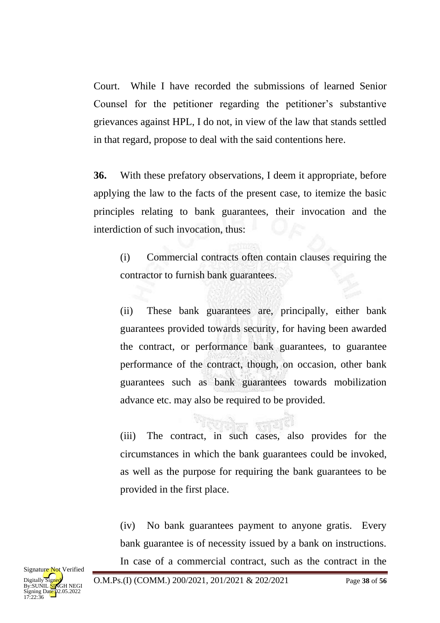Court. While I have recorded the submissions of learned Senior Counsel for the petitioner regarding the petitioner's substantive grievances against HPL, I do not, in view of the law that stands settled in that regard, propose to deal with the said contentions here.

**36.** With these prefatory observations, I deem it appropriate, before applying the law to the facts of the present case, to itemize the basic principles relating to bank guarantees, their invocation and the interdiction of such invocation, thus:

(i) Commercial contracts often contain clauses requiring the contractor to furnish bank guarantees.

(ii) These bank guarantees are, principally, either bank guarantees provided towards security, for having been awarded the contract, or performance bank guarantees, to guarantee performance of the contract, though, on occasion, other bank guarantees such as bank guarantees towards mobilization advance etc. may also be required to be provided.

(iii) The contract, in such cases, also provides for the circumstances in which the bank guarantees could be invoked, as well as the purpose for requiring the bank guarantees to be provided in the first place.

(iv) No bank guarantees payment to anyone gratis. Every bank guarantee is of necessity issued by a bank on instructions. In case of a commercial contract, such as the contract in the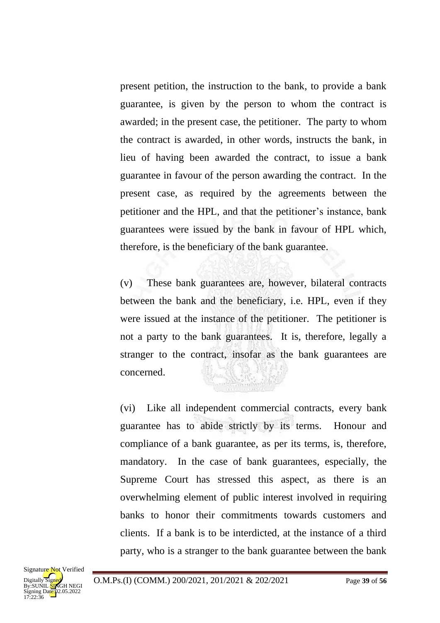present petition, the instruction to the bank, to provide a bank guarantee, is given by the person to whom the contract is awarded; in the present case, the petitioner. The party to whom the contract is awarded, in other words, instructs the bank, in lieu of having been awarded the contract, to issue a bank guarantee in favour of the person awarding the contract. In the present case, as required by the agreements between the petitioner and the HPL, and that the petitioner's instance, bank guarantees were issued by the bank in favour of HPL which, therefore, is the beneficiary of the bank guarantee.

(v) These bank guarantees are, however, bilateral contracts between the bank and the beneficiary, i.e. HPL, even if they were issued at the instance of the petitioner. The petitioner is not a party to the bank guarantees. It is, therefore, legally a stranger to the contract, insofar as the bank guarantees are concerned.

(vi) Like all independent commercial contracts, every bank guarantee has to abide strictly by its terms. Honour and compliance of a bank guarantee, as per its terms, is, therefore, mandatory. In the case of bank guarantees, especially, the Supreme Court has stressed this aspect, as there is an overwhelming element of public interest involved in requiring banks to honor their commitments towards customers and clients. If a bank is to be interdicted, at the instance of a third party, who is a stranger to the bank guarantee between the bank

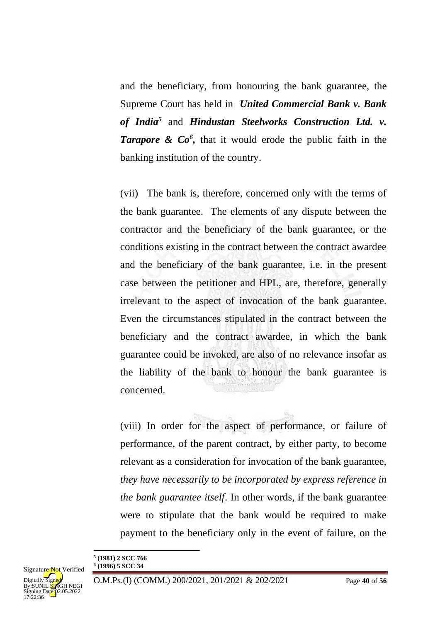and the beneficiary, from honouring the bank guarantee, the Supreme Court has held in *United Commercial Bank v. Bank of India<sup>5</sup>* and *Hindustan Steelworks Construction Ltd. v.*  **Tarapore & Co<sup>6</sup>**, that it would erode the public faith in the banking institution of the country.

(vii) The bank is, therefore, concerned only with the terms of the bank guarantee. The elements of any dispute between the contractor and the beneficiary of the bank guarantee, or the conditions existing in the contract between the contract awardee and the beneficiary of the bank guarantee, i.e. in the present case between the petitioner and HPL, are, therefore, generally irrelevant to the aspect of invocation of the bank guarantee. Even the circumstances stipulated in the contract between the beneficiary and the contract awardee, in which the bank guarantee could be invoked, are also of no relevance insofar as the liability of the bank to honour the bank guarantee is concerned.

(viii) In order for the aspect of performance, or failure of performance, of the parent contract, by either party, to become relevant as a consideration for invocation of the bank guarantee, *they have necessarily to be incorporated by express reference in the bank guarantee itself*. In other words, if the bank guarantee were to stipulate that the bank would be required to make payment to the beneficiary only in the event of failure, on the

<sup>5</sup> **(1981) 2 SCC 766**

<sup>6</sup> **(1996) 5 SCC 34**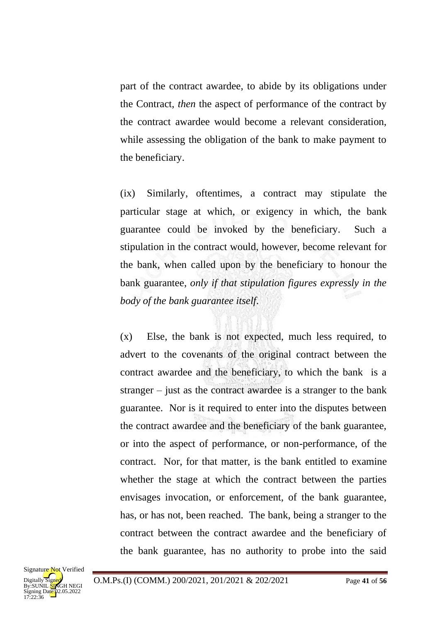part of the contract awardee, to abide by its obligations under the Contract, *then* the aspect of performance of the contract by the contract awardee would become a relevant consideration, while assessing the obligation of the bank to make payment to the beneficiary.

(ix) Similarly, oftentimes, a contract may stipulate the particular stage at which, or exigency in which, the bank guarantee could be invoked by the beneficiary. Such a stipulation in the contract would, however, become relevant for the bank, when called upon by the beneficiary to honour the bank guarantee, *only if that stipulation figures expressly in the body of the bank guarantee itself*.

(x) Else, the bank is not expected, much less required, to advert to the covenants of the original contract between the contract awardee and the beneficiary, to which the bank is a stranger – just as the contract awardee is a stranger to the bank guarantee. Nor is it required to enter into the disputes between the contract awardee and the beneficiary of the bank guarantee, or into the aspect of performance, or non-performance, of the contract. Nor, for that matter, is the bank entitled to examine whether the stage at which the contract between the parties envisages invocation, or enforcement, of the bank guarantee, has, or has not, been reached. The bank, being a stranger to the contract between the contract awardee and the beneficiary of the bank guarantee, has no authority to probe into the said

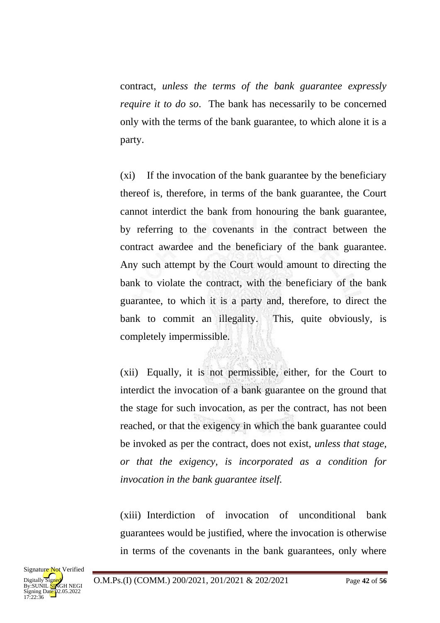contract, *unless the terms of the bank guarantee expressly require it to do so*. The bank has necessarily to be concerned only with the terms of the bank guarantee, to which alone it is a party.

(xi) If the invocation of the bank guarantee by the beneficiary thereof is, therefore, in terms of the bank guarantee, the Court cannot interdict the bank from honouring the bank guarantee, by referring to the covenants in the contract between the contract awardee and the beneficiary of the bank guarantee. Any such attempt by the Court would amount to directing the bank to violate the contract, with the beneficiary of the bank guarantee, to which it is a party and, therefore, to direct the bank to commit an illegality. This, quite obviously, is completely impermissible.

(xii) Equally, it is not permissible, either, for the Court to interdict the invocation of a bank guarantee on the ground that the stage for such invocation, as per the contract, has not been reached, or that the exigency in which the bank guarantee could be invoked as per the contract, does not exist, *unless that stage, or that the exigency, is incorporated as a condition for invocation in the bank guarantee itself.*

(xiii) Interdiction of invocation of unconditional bank guarantees would be justified, where the invocation is otherwise in terms of the covenants in the bank guarantees, only where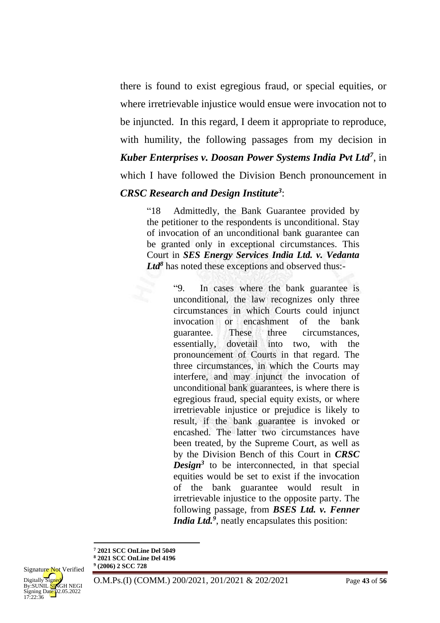there is found to exist egregious fraud, or special equities, or where irretrievable injustice would ensue were invocation not to be injuncted. In this regard, I deem it appropriate to reproduce, with humility, the following passages from my decision in *Kuber Enterprises v. Doosan Power Systems India Pvt Ltd<sup>7</sup>* , in

which I have followed the Division Bench pronouncement in

## *CRSC Research and Design Institute<sup>3</sup>* :

"18 Admittedly, the Bank Guarantee provided by the petitioner to the respondents is unconditional. Stay of invocation of an unconditional bank guarantee can be granted only in exceptional circumstances. This Court in *SES Energy Services India Ltd. v. Vedanta*  Ltd<sup>8</sup> has noted these exceptions and observed thus:-

> "9. In cases where the bank guarantee is unconditional, the law recognizes only three circumstances in which Courts could injunct invocation or encashment of the bank guarantee. These three circumstances, essentially, dovetail into two, with the pronouncement of Courts in that regard. The three circumstances, in which the Courts may interfere, and may injunct the invocation of unconditional bank guarantees, is where there is egregious fraud, special equity exists, or where irretrievable injustice or prejudice is likely to result, if the bank guarantee is invoked or encashed. The latter two circumstances have been treated, by the Supreme Court, as well as by the Division Bench of this Court in *CRSC*  **Design<sup>3</sup>** to be interconnected, in that special equities would be set to exist if the invocation of the bank guarantee would result in irretrievable injustice to the opposite party. The following passage, from *BSES Ltd. v. Fenner India Ltd.<sup>9</sup>* , neatly encapsulates this position:

**<sup>8</sup> 2021 SCC OnLine Del 4196 9 (2006) 2 SCC 728**



**<sup>7</sup> 2021 SCC OnLine Del 5049**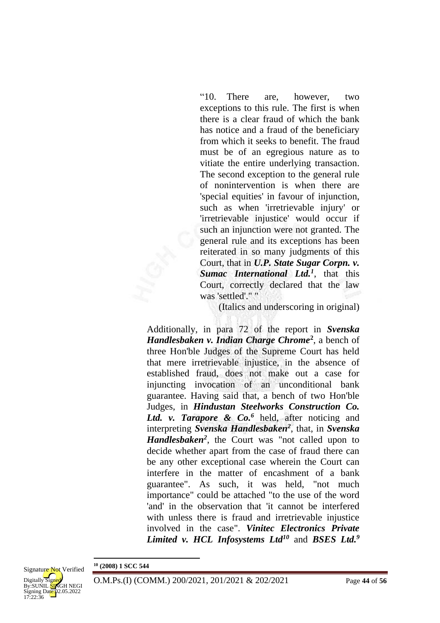"10. There are, however, two exceptions to this rule. The first is when there is a clear fraud of which the bank has notice and a fraud of the beneficiary from which it seeks to benefit. The fraud must be of an egregious nature as to vitiate the entire underlying transaction. The second exception to the general rule of nonintervention is when there are 'special equities' in favour of injunction, such as when 'irretrievable injury' or 'irretrievable injustice' would occur if such an injunction were not granted. The general rule and its exceptions has been reiterated in so many judgments of this Court, that in *U.P. State Sugar Corpn. v. Sumac International Ltd.<sup>1</sup>* , that this Court, correctly declared that the law was 'settled'." "

(Italics and underscoring in original)

Additionally, in para 72 of the report in *Svenska Handlesbaken v. Indian Charge Chrome***<sup>2</sup>** , a bench of three Hon'ble Judges of the Supreme Court has held that mere irretrievable injustice, in the absence of established fraud, does not make out a case for injuncting invocation of an unconditional bank guarantee. Having said that, a bench of two Hon'ble Judges, in *Hindustan Steelworks Construction Co.*  Ltd. v. Tarapore & Co.<sup>6</sup> held, after noticing and interpreting *Svenska Handlesbaken<sup>2</sup>* , that, in *Svenska Handlesbaken<sup>2</sup>* , the Court was "not called upon to decide whether apart from the case of fraud there can be any other exceptional case wherein the Court can interfere in the matter of encashment of a bank guarantee". As such, it was held, "not much importance" could be attached "to the use of the word 'and' in the observation that 'it cannot be interfered with unless there is fraud and irretrievable injustice involved in the case". *Vinitec Electronics Private Limited v. HCL Infosystems Ltd <sup>10</sup>* and *BSES Ltd.<sup>9</sup>*

**<sup>10</sup> (2008) 1 SCC 544**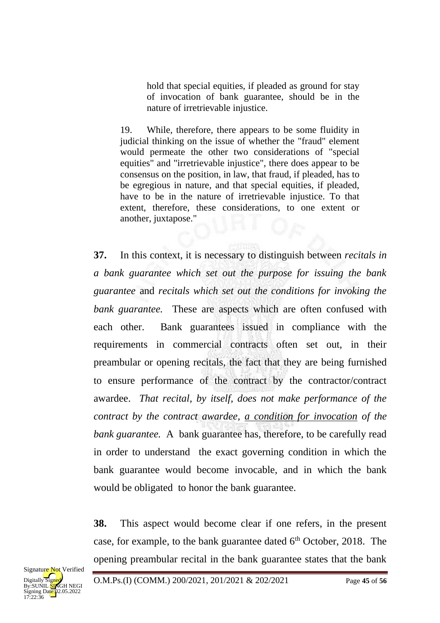hold that special equities, if pleaded as ground for stay of invocation of bank guarantee, should be in the nature of irretrievable injustice.

19. While, therefore, there appears to be some fluidity in judicial thinking on the issue of whether the "fraud" element would permeate the other two considerations of "special equities" and "irretrievable injustice", there does appear to be consensus on the position, in law, that fraud, if pleaded, has to be egregious in nature, and that special equities, if pleaded, have to be in the nature of irretrievable injustice. To that extent, therefore, these considerations, to one extent or another, juxtapose."

**37.** In this context, it is necessary to distinguish between *recitals in a bank guarantee which set out the purpose for issuing the bank guarantee* and *recitals which set out the conditions for invoking the bank guarantee.* These are aspects which are often confused with each other. Bank guarantees issued in compliance with the requirements in commercial contracts often set out, in their preambular or opening recitals, the fact that they are being furnished to ensure performance of the contract by the contractor/contract awardee. *That recital, by itself, does not make performance of the contract by the contract awardee, a condition for invocation of the bank guarantee.* A bank guarantee has, therefore, to be carefully read in order to understand the exact governing condition in which the bank guarantee would become invocable, and in which the bank would be obligated to honor the bank guarantee.

**38.** This aspect would become clear if one refers, in the present case, for example, to the bank guarantee dated  $6<sup>th</sup>$  October, 2018. The opening preambular recital in the bank guarantee states that the bank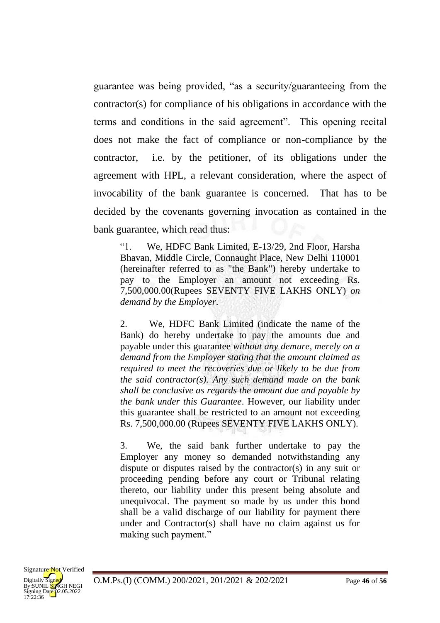guarantee was being provided, "as a security/guaranteeing from the contractor(s) for compliance of his obligations in accordance with the terms and conditions in the said agreement". This opening recital does not make the fact of compliance or non-compliance by the contractor, i.e. by the petitioner, of its obligations under the agreement with HPL, a relevant consideration, where the aspect of invocability of the bank guarantee is concerned. That has to be decided by the covenants governing invocation as contained in the bank guarantee, which read thus:

"1. We, HDFC Bank Limited, E-13/29, 2nd Floor, Harsha Bhavan, Middle Circle, Connaught Place, New Delhi 110001 (hereinafter referred to as "the Bank") hereby undertake to pay to the Employer an amount not exceeding Rs. 7,500,000.00(Rupees SEVENTY FIVE LAKHS ONLY) *on demand by the Employer*.

2. We, HDFC Bank Limited (indicate the name of the Bank) do hereby undertake to pay the amounts due and payable under this guarantee *without any demure, merely on a demand from the Employer stating that the amount claimed as required to meet the recoveries due or likely to be due from the said contractor(s). Any such demand made on the bank shall be conclusive as regards the amount due and payable by the bank under this Guarantee*. However, our liability under this guarantee shall be restricted to an amount not exceeding Rs. 7,500,000.00 (Rupees SEVENTY FIVE LAKHS ONLY).

3. We, the said bank further undertake to pay the Employer any money so demanded notwithstanding any dispute or disputes raised by the contractor(s) in any suit or proceeding pending before any court or Tribunal relating thereto, our liability under this present being absolute and unequivocal. The payment so made by us under this bond shall be a valid discharge of our liability for payment there under and Contractor(s) shall have no claim against us for making such payment."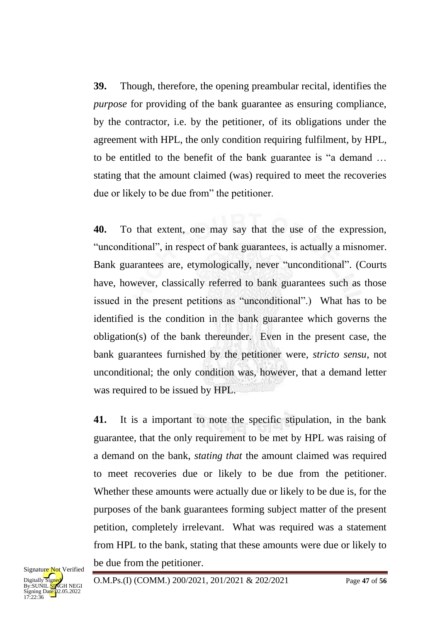**39.** Though, therefore, the opening preambular recital, identifies the *purpose* for providing of the bank guarantee as ensuring compliance, by the contractor, i.e. by the petitioner, of its obligations under the agreement with HPL, the only condition requiring fulfilment, by HPL, to be entitled to the benefit of the bank guarantee is "a demand … stating that the amount claimed (was) required to meet the recoveries due or likely to be due from" the petitioner.

**40.** To that extent, one may say that the use of the expression, "unconditional", in respect of bank guarantees, is actually a misnomer. Bank guarantees are, etymologically, never "unconditional". (Courts have, however, classically referred to bank guarantees such as those issued in the present petitions as "unconditional".) What has to be identified is the condition in the bank guarantee which governs the obligation(s) of the bank thereunder. Even in the present case, the bank guarantees furnished by the petitioner were, *stricto sensu*, not unconditional; the only condition was, however, that a demand letter was required to be issued by HPL.

**41.** It is a important to note the specific stipulation, in the bank guarantee, that the only requirement to be met by HPL was raising of a demand on the bank, *stating that* the amount claimed was required to meet recoveries due or likely to be due from the petitioner. Whether these amounts were actually due or likely to be due is, for the purposes of the bank guarantees forming subject matter of the present petition, completely irrelevant. What was required was a statement from HPL to the bank, stating that these amounts were due or likely to be due from the petitioner.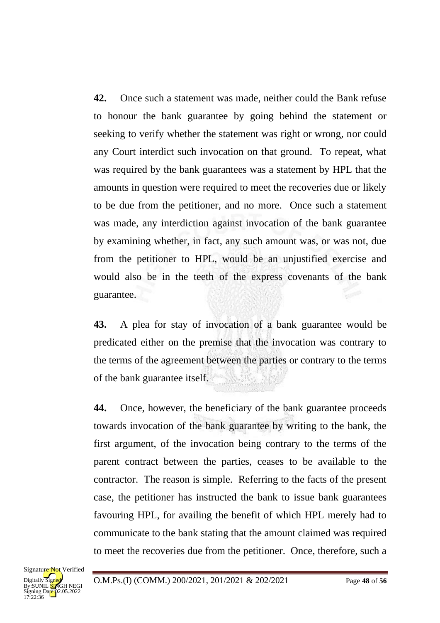**42.** Once such a statement was made, neither could the Bank refuse to honour the bank guarantee by going behind the statement or seeking to verify whether the statement was right or wrong, nor could any Court interdict such invocation on that ground. To repeat, what was required by the bank guarantees was a statement by HPL that the amounts in question were required to meet the recoveries due or likely to be due from the petitioner, and no more. Once such a statement was made, any interdiction against invocation of the bank guarantee by examining whether, in fact, any such amount was, or was not, due from the petitioner to HPL, would be an unjustified exercise and would also be in the teeth of the express covenants of the bank guarantee.

**43.** A plea for stay of invocation of a bank guarantee would be predicated either on the premise that the invocation was contrary to the terms of the agreement between the parties or contrary to the terms of the bank guarantee itself.

**44.** Once, however, the beneficiary of the bank guarantee proceeds towards invocation of the bank guarantee by writing to the bank, the first argument, of the invocation being contrary to the terms of the parent contract between the parties, ceases to be available to the contractor. The reason is simple. Referring to the facts of the present case, the petitioner has instructed the bank to issue bank guarantees favouring HPL, for availing the benefit of which HPL merely had to communicate to the bank stating that the amount claimed was required to meet the recoveries due from the petitioner. Once, therefore, such a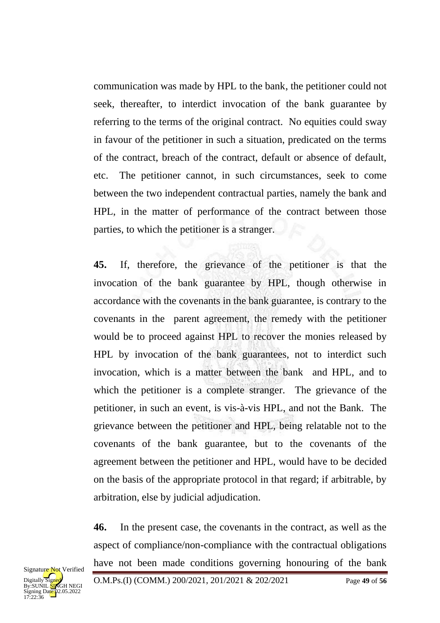communication was made by HPL to the bank, the petitioner could not seek, thereafter, to interdict invocation of the bank guarantee by referring to the terms of the original contract. No equities could sway in favour of the petitioner in such a situation, predicated on the terms of the contract, breach of the contract, default or absence of default, etc. The petitioner cannot, in such circumstances, seek to come between the two independent contractual parties, namely the bank and HPL, in the matter of performance of the contract between those parties, to which the petitioner is a stranger.

**45.** If, therefore, the grievance of the petitioner is that the invocation of the bank guarantee by HPL, though otherwise in accordance with the covenants in the bank guarantee, is contrary to the covenants in the parent agreement, the remedy with the petitioner would be to proceed against HPL to recover the monies released by HPL by invocation of the bank guarantees, not to interdict such invocation, which is a matter between the bank and HPL, and to which the petitioner is a complete stranger. The grievance of the petitioner, in such an event, is vis-à-vis HPL, and not the Bank. The grievance between the petitioner and HPL, being relatable not to the covenants of the bank guarantee, but to the covenants of the agreement between the petitioner and HPL, would have to be decided on the basis of the appropriate protocol in that regard; if arbitrable, by arbitration, else by judicial adjudication.

**46.** In the present case, the covenants in the contract, as well as the aspect of compliance/non-compliance with the contractual obligations have not been made conditions governing honouring of the bank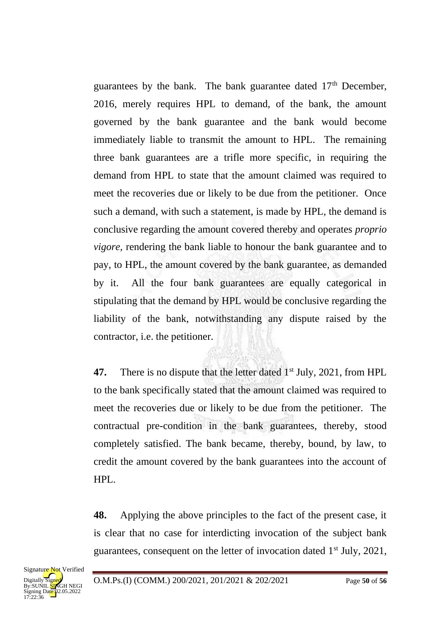guarantees by the bank. The bank guarantee dated  $17<sup>th</sup>$  December, 2016, merely requires HPL to demand, of the bank, the amount governed by the bank guarantee and the bank would become immediately liable to transmit the amount to HPL. The remaining three bank guarantees are a trifle more specific, in requiring the demand from HPL to state that the amount claimed was required to meet the recoveries due or likely to be due from the petitioner. Once such a demand, with such a statement, is made by HPL, the demand is conclusive regarding the amount covered thereby and operates *proprio vigore,* rendering the bank liable to honour the bank guarantee and to pay, to HPL, the amount covered by the bank guarantee, as demanded by it. All the four bank guarantees are equally categorical in stipulating that the demand by HPL would be conclusive regarding the liability of the bank, notwithstanding any dispute raised by the contractor, i.e. the petitioner.

**47.** There is no dispute that the letter dated 1<sup>st</sup> July, 2021, from HPL to the bank specifically stated that the amount claimed was required to meet the recoveries due or likely to be due from the petitioner. The contractual pre-condition in the bank guarantees, thereby, stood completely satisfied. The bank became, thereby, bound, by law, to credit the amount covered by the bank guarantees into the account of HPL.

**48.** Applying the above principles to the fact of the present case, it is clear that no case for interdicting invocation of the subject bank guarantees, consequent on the letter of invocation dated 1st July, 2021,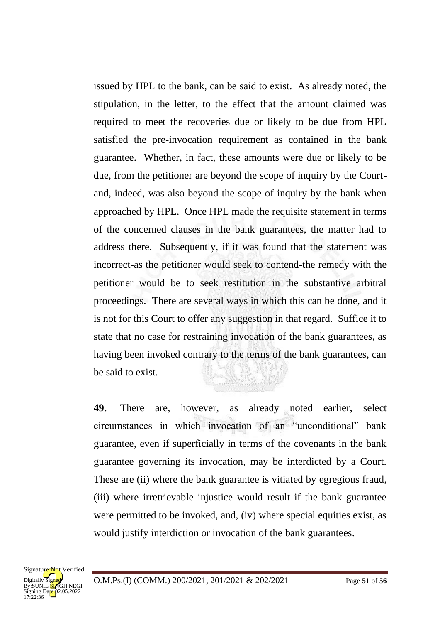issued by HPL to the bank, can be said to exist. As already noted, the stipulation, in the letter, to the effect that the amount claimed was required to meet the recoveries due or likely to be due from HPL satisfied the pre-invocation requirement as contained in the bank guarantee. Whether, in fact, these amounts were due or likely to be due, from the petitioner are beyond the scope of inquiry by the Courtand, indeed, was also beyond the scope of inquiry by the bank when approached by HPL. Once HPL made the requisite statement in terms of the concerned clauses in the bank guarantees, the matter had to address there. Subsequently, if it was found that the statement was incorrect-as the petitioner would seek to contend-the remedy with the petitioner would be to seek restitution in the substantive arbitral proceedings. There are several ways in which this can be done, and it is not for this Court to offer any suggestion in that regard. Suffice it to state that no case for restraining invocation of the bank guarantees, as having been invoked contrary to the terms of the bank guarantees, can be said to exist.

**49.** There are, however, as already noted earlier, select circumstances in which invocation of an "unconditional" bank guarantee, even if superficially in terms of the covenants in the bank guarantee governing its invocation, may be interdicted by a Court. These are (ii) where the bank guarantee is vitiated by egregious fraud, (iii) where irretrievable injustice would result if the bank guarantee were permitted to be invoked, and, (iv) where special equities exist, as would justify interdiction or invocation of the bank guarantees.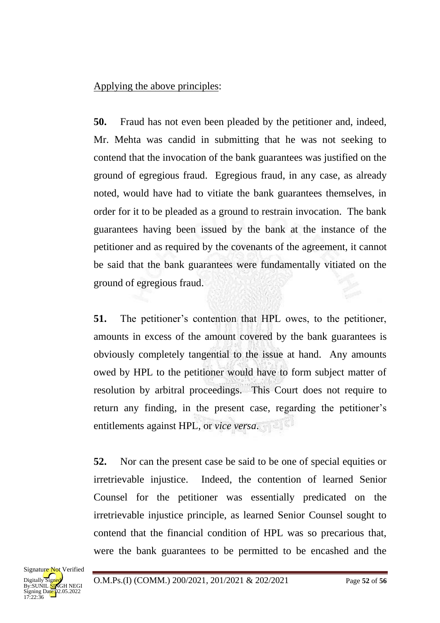# Applying the above principles:

**50.** Fraud has not even been pleaded by the petitioner and, indeed, Mr. Mehta was candid in submitting that he was not seeking to contend that the invocation of the bank guarantees was justified on the ground of egregious fraud. Egregious fraud, in any case, as already noted, would have had to vitiate the bank guarantees themselves, in order for it to be pleaded as a ground to restrain invocation. The bank guarantees having been issued by the bank at the instance of the petitioner and as required by the covenants of the agreement, it cannot be said that the bank guarantees were fundamentally vitiated on the ground of egregious fraud.

**51.** The petitioner's contention that HPL owes, to the petitioner, amounts in excess of the amount covered by the bank guarantees is obviously completely tangential to the issue at hand. Any amounts owed by HPL to the petitioner would have to form subject matter of resolution by arbitral proceedings. This Court does not require to return any finding, in the present case, regarding the petitioner's entitlements against HPL, or *vice versa*.

**52.** Nor can the present case be said to be one of special equities or irretrievable injustice. Indeed, the contention of learned Senior Counsel for the petitioner was essentially predicated on the irretrievable injustice principle, as learned Senior Counsel sought to contend that the financial condition of HPL was so precarious that, were the bank guarantees to be permitted to be encashed and the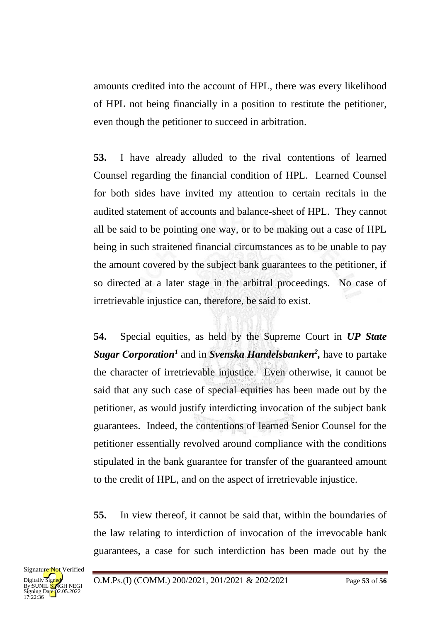amounts credited into the account of HPL, there was every likelihood of HPL not being financially in a position to restitute the petitioner, even though the petitioner to succeed in arbitration.

**53.** I have already alluded to the rival contentions of learned Counsel regarding the financial condition of HPL. Learned Counsel for both sides have invited my attention to certain recitals in the audited statement of accounts and balance-sheet of HPL. They cannot all be said to be pointing one way, or to be making out a case of HPL being in such straitened financial circumstances as to be unable to pay the amount covered by the subject bank guarantees to the petitioner, if so directed at a later stage in the arbitral proceedings. No case of irretrievable injustice can, therefore, be said to exist.

**54.** Special equities, as held by the Supreme Court in *UP State Sugar Corporation<sup>1</sup>* and in *Svenska Handelsbanken<sup>2</sup> ,* have to partake the character of irretrievable injustice. Even otherwise, it cannot be said that any such case of special equities has been made out by the petitioner, as would justify interdicting invocation of the subject bank guarantees. Indeed, the contentions of learned Senior Counsel for the petitioner essentially revolved around compliance with the conditions stipulated in the bank guarantee for transfer of the guaranteed amount to the credit of HPL, and on the aspect of irretrievable injustice.

**55.** In view thereof, it cannot be said that, within the boundaries of the law relating to interdiction of invocation of the irrevocable bank guarantees, a case for such interdiction has been made out by the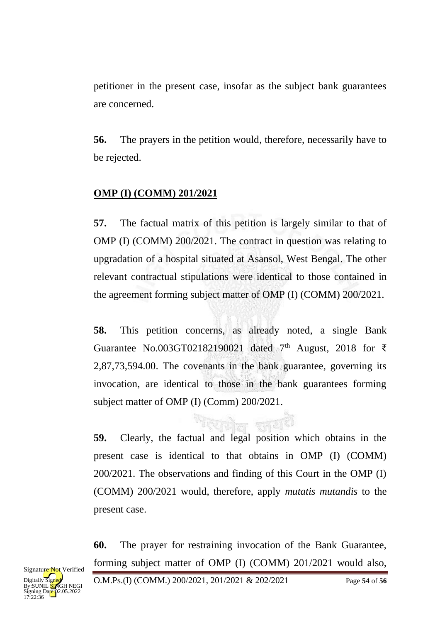petitioner in the present case, insofar as the subject bank guarantees are concerned.

**56.** The prayers in the petition would, therefore, necessarily have to be rejected.

# **OMP (I) (COMM) 201/2021**

**57.** The factual matrix of this petition is largely similar to that of OMP (I) (COMM) 200/2021. The contract in question was relating to upgradation of a hospital situated at Asansol, West Bengal. The other relevant contractual stipulations were identical to those contained in the agreement forming subject matter of OMP (I) (COMM) 200/2021.

**58.** This petition concerns, as already noted, a single Bank Guarantee No.003GT02182190021 dated  $7<sup>th</sup>$  August, 2018 for  $\bar{\tau}$ 2,87,73,594.00. The covenants in the bank guarantee, governing its invocation, are identical to those in the bank guarantees forming subject matter of OMP (I) (Comm) 200/2021.

**59.** Clearly, the factual and legal position which obtains in the present case is identical to that obtains in OMP (I) (COMM) 200/2021. The observations and finding of this Court in the OMP (I) (COMM) 200/2021 would, therefore, apply *mutatis mutandis* to the present case.

**60.** The prayer for restraining invocation of the Bank Guarantee, forming subject matter of OMP (I) (COMM) 201/2021 would also,

O.M.Ps.(I) (COMM.) 200/2021, 201/2021 & 202/2021 Page **54** of **56**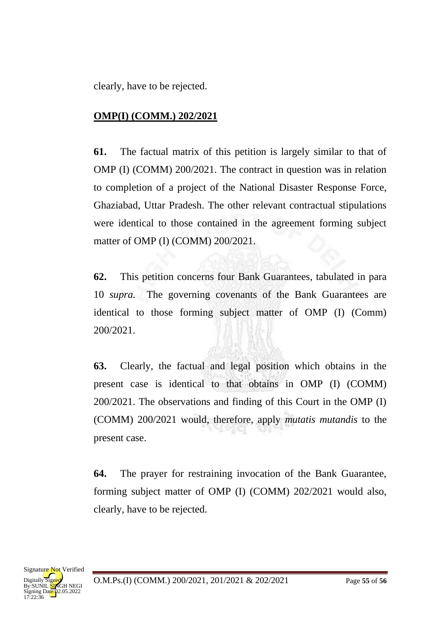clearly, have to be rejected.

# **OMP(I) (COMM.) 202/2021**

**61.** The factual matrix of this petition is largely similar to that of OMP (I) (COMM) 200/2021. The contract in question was in relation to completion of a project of the National Disaster Response Force, Ghaziabad, Uttar Pradesh. The other relevant contractual stipulations were identical to those contained in the agreement forming subject matter of OMP (I) (COMM) 200/2021.

**62.** This petition concerns four Bank Guarantees, tabulated in para 10 *supra.* The governing covenants of the Bank Guarantees are identical to those forming subject matter of OMP (I) (Comm) 200/2021.

**63.** Clearly, the factual and legal position which obtains in the present case is identical to that obtains in OMP (I) (COMM) 200/2021. The observations and finding of this Court in the OMP (I) (COMM) 200/2021 would, therefore, apply *mutatis mutandis* to the present case.

**64.** The prayer for restraining invocation of the Bank Guarantee, forming subject matter of OMP (I) (COMM) 202/2021 would also, clearly, have to be rejected.